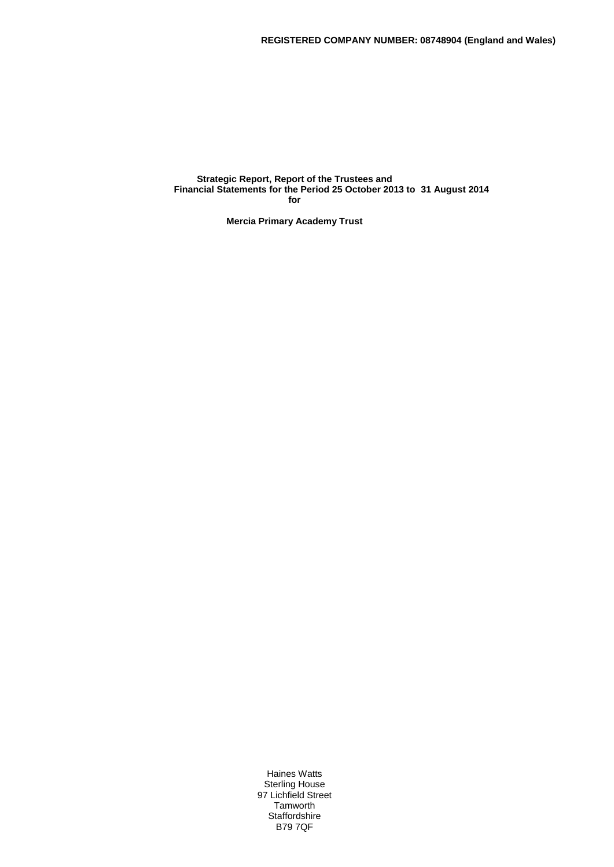**Strategic Report, Report of the Trustees and Financial Statements for the Period 25 October 2013 to 31 August 2014 for**

**Mercia Primary Academy Trust**

Haines Watts Sterling House 97 Lichfield Street Tamworth Staffordshire B79 7QF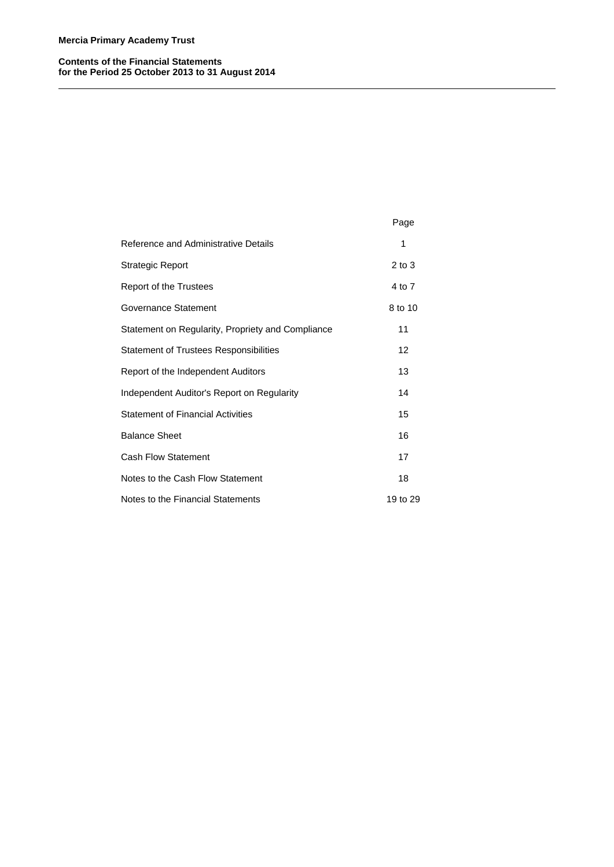# **Mercia Primary Academy Trust**

### **Contents of the Financial Statements for the Period 25 October 2013 to 31 August 2014**

|                                                   | Page       |
|---------------------------------------------------|------------|
| Reference and Administrative Details              | 1          |
| <b>Strategic Report</b>                           | $2$ to $3$ |
| Report of the Trustees                            | 4 to 7     |
| Governance Statement                              | 8 to 10    |
| Statement on Regularity, Propriety and Compliance | 11         |
| <b>Statement of Trustees Responsibilities</b>     | 12         |
| Report of the Independent Auditors                | 13         |
| Independent Auditor's Report on Regularity        | 14         |
| <b>Statement of Financial Activities</b>          | 15         |
| <b>Balance Sheet</b>                              | 16         |
| <b>Cash Flow Statement</b>                        | 17         |
| Notes to the Cash Flow Statement                  | 18         |
| Notes to the Financial Statements                 | 19 to 29   |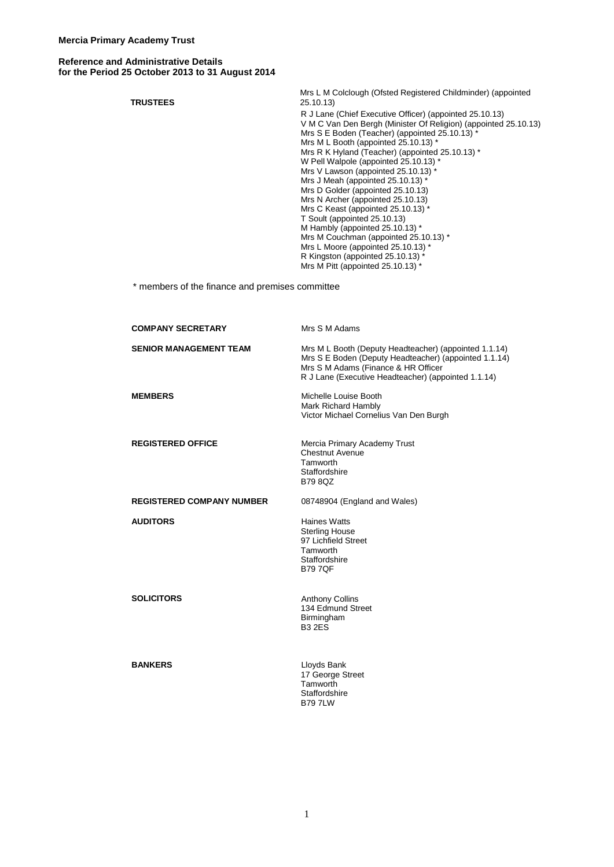**Reference and Administrative Details for the Period 25 October 2013 to 31 August 2014**

#### R J Lane (Chief Executive Officer) (appointed 25.10.13) V M C Van Den Bergh (Minister Of Religion) (appointed 25.10.13) Mrs S E Boden (Teacher) (appointed 25.10.13) \* Mrs M L Booth (appointed 25.10.13) \* Mrs R K Hyland (Teacher) (appointed 25.10.13) \* W Pell Walpole (appointed 25.10.13) \* Mrs V Lawson (appointed 25.10.13) \* Mrs J Meah (appointed 25.10.13) \* Mrs D Golder (appointed 25.10.13) Mrs N Archer (appointed 25.10.13) Mrs C Keast (appointed 25.10.13) \* T Soult (appointed 25.10.13) M Hambly (appointed 25.10.13) \* Mrs M Couchman (appointed 25.10.13) \* Mrs L Moore (appointed 25.10.13) \* R Kingston (appointed 25.10.13) \* **TRUSTEES** Mrs L M Colclough (Ofsted Registered Childminder) (appointed 25.10.13)

Mrs M Pitt (appointed 25.10.13) \*

\* members of the finance and premises committee

| <b>COMPANY SECRETARY</b>         | Mrs S M Adams                                                                                                                                                                                                |
|----------------------------------|--------------------------------------------------------------------------------------------------------------------------------------------------------------------------------------------------------------|
| <b>SENIOR MANAGEMENT TEAM</b>    | Mrs M L Booth (Deputy Headteacher) (appointed 1.1.14)<br>Mrs S E Boden (Deputy Headteacher) (appointed 1.1.14)<br>Mrs S M Adams (Finance & HR Officer<br>R J Lane (Executive Headteacher) (appointed 1.1.14) |
| <b>MEMBERS</b>                   | Michelle Louise Booth<br>Mark Richard Hambly<br>Victor Michael Cornelius Van Den Burgh                                                                                                                       |
| <b>REGISTERED OFFICE</b>         | Mercia Primary Academy Trust<br><b>Chestnut Avenue</b><br>Tamworth<br>Staffordshire<br>B7980Z                                                                                                                |
| <b>REGISTERED COMPANY NUMBER</b> | 08748904 (England and Wales)                                                                                                                                                                                 |
| <b>AUDITORS</b>                  | <b>Haines Watts</b><br><b>Sterling House</b><br>97 Lichfield Street<br>Tamworth<br>Staffordshire<br><b>B797QF</b>                                                                                            |
| <b>SOLICITORS</b>                | <b>Anthony Collins</b><br>134 Edmund Street<br>Birmingham<br><b>B3 2ES</b>                                                                                                                                   |
| <b>BANKERS</b>                   | Lloyds Bank<br>17 George Street<br>Tamworth<br>Staffordshire<br><b>B797LW</b>                                                                                                                                |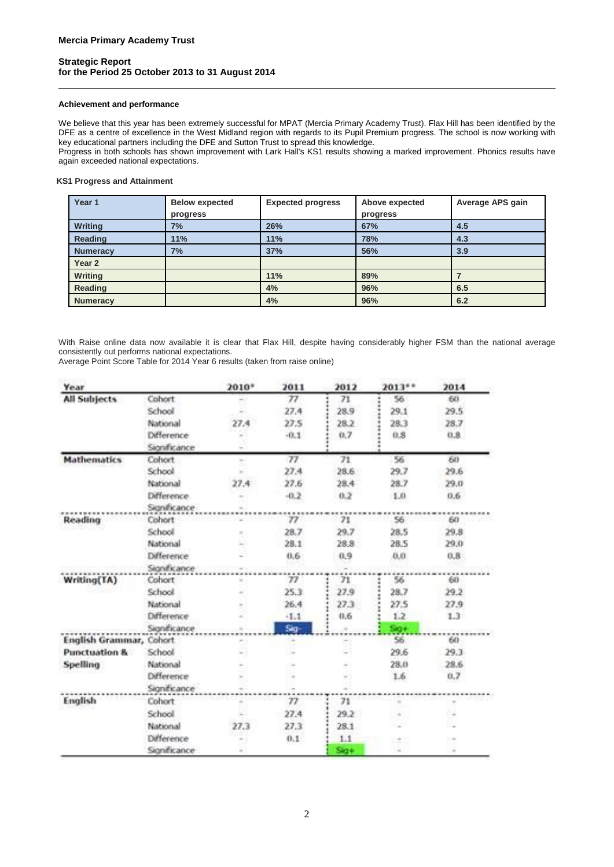# **Strategic Report for the Period 25 October 2013 to 31 August 2014**

#### **Achievement and performance**

We believe that this year has been extremely successful for MPAT (Mercia Primary Academy Trust). Flax Hill has been identified by the DFE as a centre of excellence in the West Midland region with regards to its Pupil Premium progress. The school is now working with key educational partners including the DFE and Sutton Trust to spread this knowledge.

Progress in both schools has shown improvement with Lark Hall's KS1 results showing a marked improvement. Phonics results have again exceeded national expectations.

#### **KS1 Progress and Attainment**

| Year 1            | <b>Below expected</b><br>progress | <b>Expected progress</b> | Above expected<br>progress | Average APS gain |
|-------------------|-----------------------------------|--------------------------|----------------------------|------------------|
| <b>Writing</b>    | 7%                                | 26%                      | 67%                        | 4.5              |
| Reading           | 11%                               | 11%                      | 78%                        | 4.3              |
| <b>Numeracy</b>   | 7%                                | 37%                      | 56%                        | 3.9              |
| Year <sub>2</sub> |                                   |                          |                            |                  |
| <b>Writing</b>    |                                   | 11%                      | 89%                        |                  |
| Reading           |                                   | 4%                       | 96%                        | 6.5              |
| <b>Numeracy</b>   |                                   | 4%                       | 96%                        | 6.2              |

With Raise online data now available it is clear that Flax Hill, despite having considerably higher FSM than the national average consistently out performs national expectations.

Average Point Score Table for 2014 Year 6 results (taken from raise online)

| Year                     |                   | 2010*  | 2011   | 2012   | $2013**$ | 2014 |
|--------------------------|-------------------|--------|--------|--------|----------|------|
| <b>All Subjects</b>      | Cohort            |        | 77     | 71     | 56       | 60   |
|                          | School            |        | 27.4   | 28.9   | 29.1     | 29.5 |
|                          | National          | 27.4   | 27.5   | 28.2   | 28.3     | 28.7 |
|                          | Difference        |        | $-0.1$ | 0.7    | 0.8      | 0.8  |
|                          | Significance      |        |        |        |          |      |
| <b>Mathematics</b>       | Cohort            |        | 77     | 71     | 56       | 60   |
|                          | School            |        | 27.4   | 28.6   | 29.7     | 29.6 |
|                          | National          | 27.4   | 27.6   | 28.4   | 28.7     | 29.0 |
|                          | <b>Difference</b> |        | $-0.2$ | 0.2    | 1.0      | 0.6  |
|                          | Significance      |        |        |        |          |      |
| Reading                  | Cohort            |        | 77     | 71     | 56       | 60   |
|                          | School            | $\sim$ | 28.7   | 29.7   | 28.5     | 29.8 |
|                          | National          |        | 28.1   | 28.8   | 28.5     | 29.0 |
|                          | Difference        |        | 0.6    | 0.9    | 0.0.     | 0.8  |
|                          | Significance      |        |        |        |          |      |
| Writing(TA)              | Cohort            |        | 77     | 71     | 56       | 60   |
|                          | School            |        | 25.3   | 27.9   | 28.7     | 29.2 |
|                          | National          | ×.     | 26.4   | 27.3   | 27.5     | 27.9 |
|                          | Difference        |        | $-1.1$ | 0.6    | 1.2.     | 1.3  |
|                          | Significance      |        | Sig-   | ٠      | Sig+     |      |
| English Grammar, Cohort  |                   |        |        |        | 56       | 60   |
| <b>Punctuation &amp;</b> | School            |        |        | $\sim$ | 29.6     | 29.3 |
| Spelling                 | National          |        |        |        | 28.0     | 28.6 |
|                          | Difference        |        |        |        | 1.6      | 0.7  |
|                          | Significance      |        |        |        |          |      |
| English                  | Cohort            |        | 77     | 71     |          |      |
|                          | School            |        | 27.4   | 29.2   |          | ÷    |
|                          | National          | 27.3   | 27.3   | 28.1   |          |      |
|                          | Difference        |        | 0.1    | 1.1    |          |      |
|                          | Significance      |        |        | Sig+   |          |      |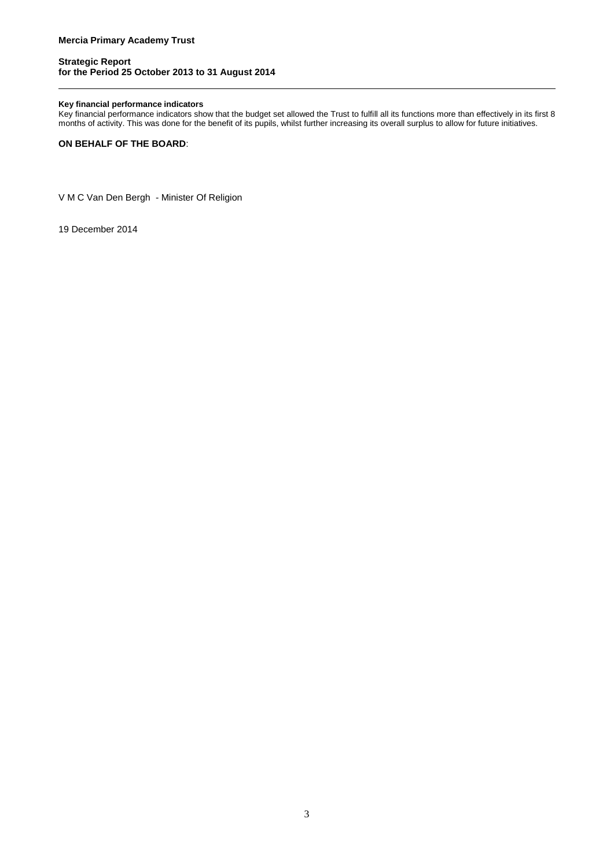### **Mercia Primary Academy Trust**

### **Strategic Report for the Period 25 October 2013 to 31 August 2014**

#### **Key financial performance indicators**

Key financial performance indicators show that the budget set allowed the Trust to fulfill all its functions more than effectively in its first 8 months of activity. This was done for the benefit of its pupils, whilst further increasing its overall surplus to allow for future initiatives.

# **ON BEHALF OF THE BOARD**:

V M C Van Den Bergh - Minister Of Religion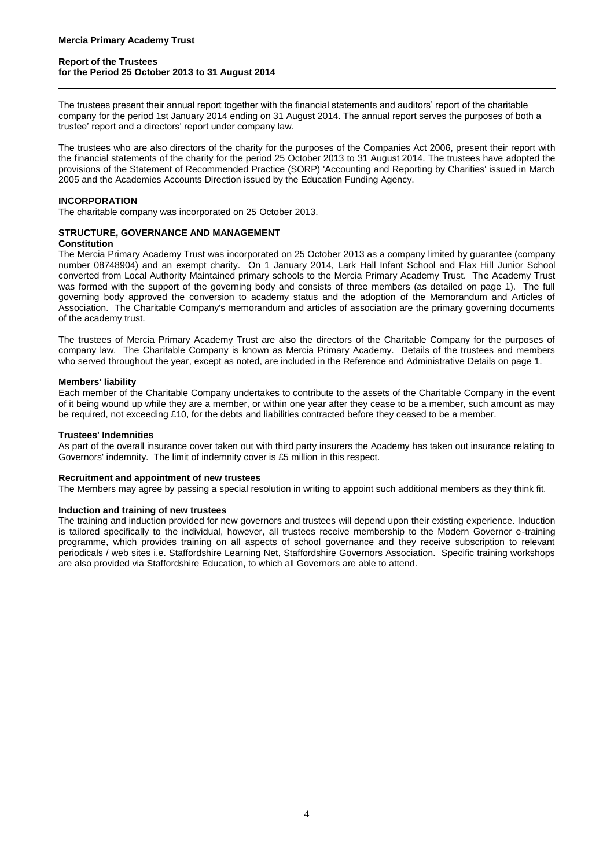The trustees present their annual report together with the financial statements and auditors' report of the charitable company for the period 1st January 2014 ending on 31 August 2014. The annual report serves the purposes of both a trustee' report and a directors' report under company law.

The trustees who are also directors of the charity for the purposes of the Companies Act 2006, present their report with the financial statements of the charity for the period 25 October 2013 to 31 August 2014. The trustees have adopted the provisions of the Statement of Recommended Practice (SORP) 'Accounting and Reporting by Charities' issued in March 2005 and the Academies Accounts Direction issued by the Education Funding Agency.

### **INCORPORATION**

The charitable company was incorporated on 25 October 2013.

#### **STRUCTURE, GOVERNANCE AND MANAGEMENT Constitution**

The Mercia Primary Academy Trust was incorporated on 25 October 2013 as a company limited by guarantee (company number 08748904) and an exempt charity. On 1 January 2014, Lark Hall Infant School and Flax Hill Junior School converted from Local Authority Maintained primary schools to the Mercia Primary Academy Trust. The Academy Trust was formed with the support of the governing body and consists of three members (as detailed on page 1). The full governing body approved the conversion to academy status and the adoption of the Memorandum and Articles of Association. The Charitable Company's memorandum and articles of association are the primary governing documents of the academy trust.

The trustees of Mercia Primary Academy Trust are also the directors of the Charitable Company for the purposes of company law. The Charitable Company is known as Mercia Primary Academy. Details of the trustees and members who served throughout the year, except as noted, are included in the Reference and Administrative Details on page 1.

### **Members' liability**

Each member of the Charitable Company undertakes to contribute to the assets of the Charitable Company in the event of it being wound up while they are a member, or within one year after they cease to be a member, such amount as may be required, not exceeding £10, for the debts and liabilities contracted before they ceased to be a member.

### **Trustees' Indemnities**

As part of the overall insurance cover taken out with third party insurers the Academy has taken out insurance relating to Governors' indemnity. The limit of indemnity cover is £5 million in this respect.

### **Recruitment and appointment of new trustees**

The Members may agree by passing a special resolution in writing to appoint such additional members as they think fit.

### **Induction and training of new trustees**

The training and induction provided for new governors and trustees will depend upon their existing experience. Induction is tailored specifically to the individual, however, all trustees receive membership to the Modern Governor e-training programme, which provides training on all aspects of school governance and they receive subscription to relevant periodicals / web sites i.e. Staffordshire Learning Net, Staffordshire Governors Association. Specific training workshops are also provided via Staffordshire Education, to which all Governors are able to attend.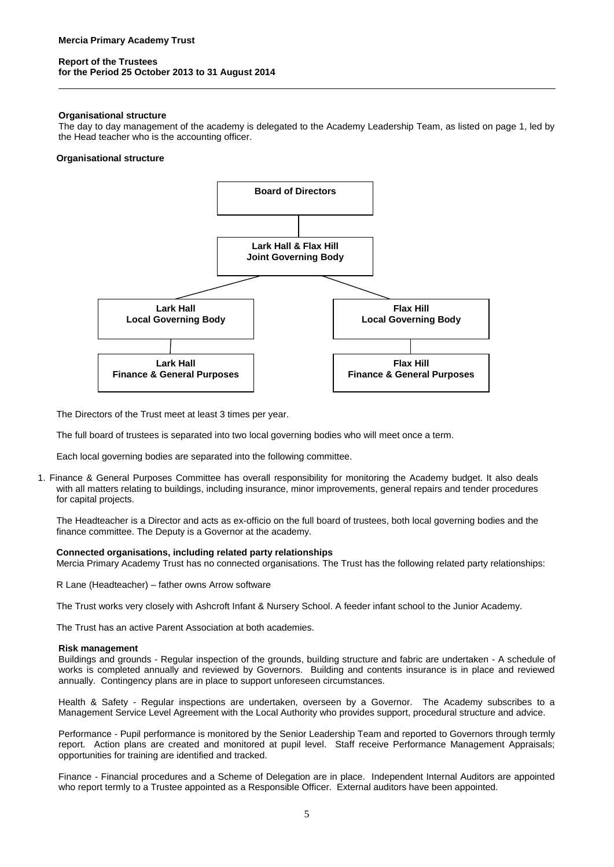### **Organisational structure**

The day to day management of the academy is delegated to the Academy Leadership Team, as listed on page 1, led by the Head teacher who is the accounting officer.

### **Organisational structure**



The Directors of the Trust meet at least 3 times per year.

The full board of trustees is separated into two local governing bodies who will meet once a term.

Each local governing bodies are separated into the following committee.

1. Finance & General Purposes Committee has overall responsibility for monitoring the Academy budget. It also deals with all matters relating to buildings, including insurance, minor improvements, general repairs and tender procedures for capital projects.

The Headteacher is a Director and acts as ex-officio on the full board of trustees, both local governing bodies and the finance committee. The Deputy is a Governor at the academy.

### **Connected organisations, including related party relationships**

Mercia Primary Academy Trust has no connected organisations. The Trust has the following related party relationships:

R Lane (Headteacher) – father owns Arrow software

The Trust works very closely with Ashcroft Infant & Nursery School. A feeder infant school to the Junior Academy.

The Trust has an active Parent Association at both academies.

#### **Risk management**

Buildings and grounds - Regular inspection of the grounds, building structure and fabric are undertaken - A schedule of works is completed annually and reviewed by Governors. Building and contents insurance is in place and reviewed annually. Contingency plans are in place to support unforeseen circumstances.

Health & Safety - Regular inspections are undertaken, overseen by a Governor. The Academy subscribes to a Management Service Level Agreement with the Local Authority who provides support, procedural structure and advice.

Performance - Pupil performance is monitored by the Senior Leadership Team and reported to Governors through termly report. Action plans are created and monitored at pupil level. Staff receive Performance Management Appraisals; opportunities for training are identified and tracked.

Finance - Financial procedures and a Scheme of Delegation are in place. Independent Internal Auditors are appointed who report termly to a Trustee appointed as a Responsible Officer. External auditors have been appointed.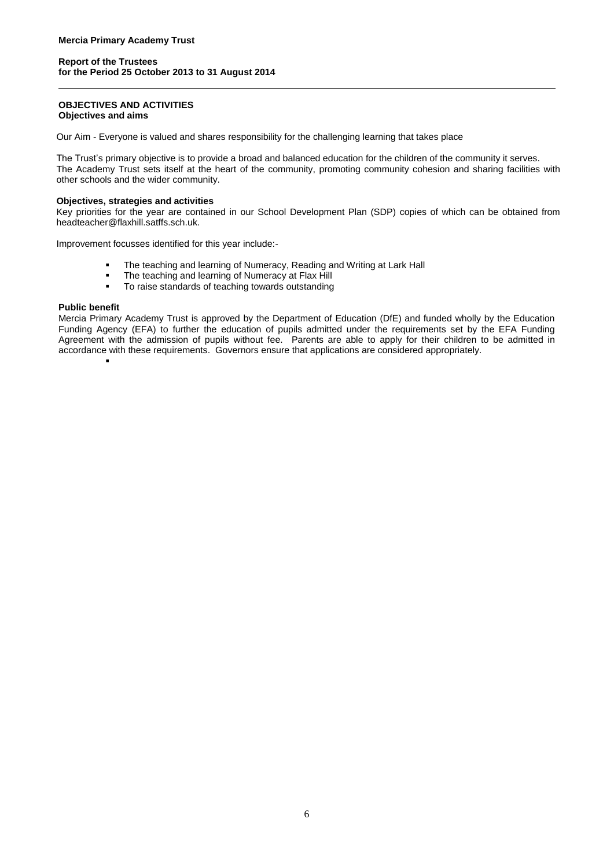### **OBJECTIVES AND ACTIVITIES Objectives and aims**

Our Aim - Everyone is valued and shares responsibility for the challenging learning that takes place

The Trust's primary objective is to provide a broad and balanced education for the children of the community it serves. The Academy Trust sets itself at the heart of the community, promoting community cohesion and sharing facilities with other schools and the wider community.

### **Objectives, strategies and activities**

Key priorities for the year are contained in our School Development Plan (SDP) copies of which can be obtained from headteacher@flaxhill.satffs.sch.uk.

Improvement focusses identified for this year include:-

- The teaching and learning of Numeracy, Reading and Writing at Lark Hall
- The teaching and learning of Numeracy at Flax Hill<br>To raise standards of teaching towards outstanding
- To raise standards of teaching towards outstanding

### **Public benefit**

Mercia Primary Academy Trust is approved by the Department of Education (DfE) and funded wholly by the Education Funding Agency (EFA) to further the education of pupils admitted under the requirements set by the EFA Funding Agreement with the admission of pupils without fee. Parents are able to apply for their children to be admitted in accordance with these requirements. Governors ensure that applications are considered appropriately.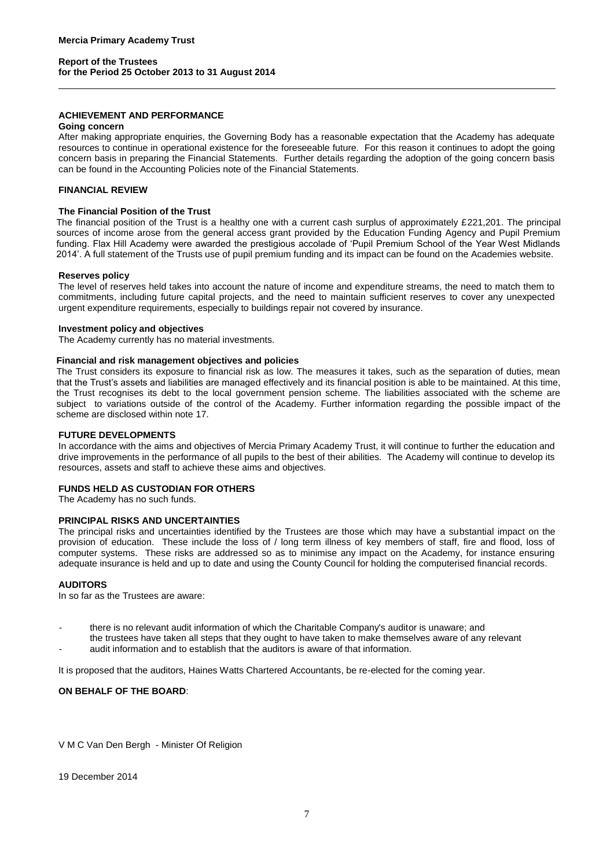### **ACHIEVEMENT AND PERFORMANCE**

### **Going concern**

After making appropriate enquiries, the Governing Body has a reasonable expectation that the Academy has adequate resources to continue in operational existence for the foreseeable future. For this reason it continues to adopt the going concern basis in preparing the Financial Statements. Further details regarding the adoption of the going concern basis can be found in the Accounting Policies note of the Financial Statements.

### **FINANCIAL REVIEW**

### **The Financial Position of the Trust**

The financial position of the Trust is a healthy one with a current cash surplus of approximately £221,201. The principal sources of income arose from the general access grant provided by the Education Funding Agency and Pupil Premium funding. Flax Hill Academy were awarded the prestigious accolade of 'Pupil Premium School of the Year West Midlands 2014'. A full statement of the Trusts use of pupil premium funding and its impact can be found on the Academies website.

### **Reserves policy**

The level of reserves held takes into account the nature of income and expenditure streams, the need to match them to commitments, including future capital projects, and the need to maintain sufficient reserves to cover any unexpected urgent expenditure requirements, especially to buildings repair not covered by insurance.

#### **Investment policy and objectives**

The Academy currently has no material investments.

#### **Financial and risk management objectives and policies**

The Trust considers its exposure to financial risk as low. The measures it takes, such as the separation of duties, mean that the Trust's assets and liabilities are managed effectively and its financial position is able to be maintained. At this time, the Trust recognises its debt to the local government pension scheme. The liabilities associated with the scheme are subject to variations outside of the control of the Academy. Further information regarding the possible impact of the scheme are disclosed within note 17.

### **FUTURE DEVELOPMENTS**

In accordance with the aims and objectives of Mercia Primary Academy Trust, it will continue to further the education and drive improvements in the performance of all pupils to the best of their abilities. The Academy will continue to develop its resources, assets and staff to achieve these aims and objectives.

### **FUNDS HELD AS CUSTODIAN FOR OTHERS**

The Academy has no such funds.

### **PRINCIPAL RISKS AND UNCERTAINTIES**

The principal risks and uncertainties identified by the Trustees are those which may have a substantial impact on the provision of education. These include the loss of / long term illness of key members of staff, fire and flood, loss of computer systems. These risks are addressed so as to minimise any impact on the Academy, for instance ensuring adequate insurance is held and up to date and using the County Council for holding the computerised financial records.

### **AUDITORS**

In so far as the Trustees are aware:

- there is no relevant audit information of which the Charitable Company's auditor is unaware; and the trustees have taken all steps that they ought to have taken to make themselves aware of any relevant audit information and to establish that the auditors is aware of that information.
- -

It is proposed that the auditors, Haines Watts Chartered Accountants, be re-elected for the coming year.

### **ON BEHALF OF THE BOARD**:

V M C Van Den Bergh - Minister Of Religion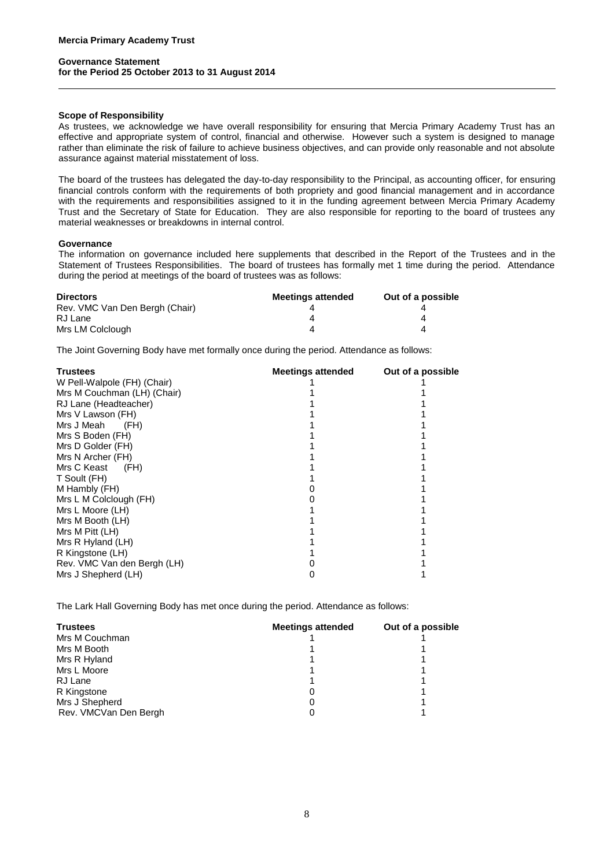# **Governance Statement for the Period 25 October 2013 to 31 August 2014**

### **Scope of Responsibility**

As trustees, we acknowledge we have overall responsibility for ensuring that Mercia Primary Academy Trust has an effective and appropriate system of control, financial and otherwise. However such a system is designed to manage rather than eliminate the risk of failure to achieve business objectives, and can provide only reasonable and not absolute assurance against material misstatement of loss.

The board of the trustees has delegated the day-to-day responsibility to the Principal, as accounting officer, for ensuring financial controls conform with the requirements of both propriety and good financial management and in accordance with the requirements and responsibilities assigned to it in the funding agreement between Mercia Primary Academy Trust and the Secretary of State for Education. They are also responsible for reporting to the board of trustees any material weaknesses or breakdowns in internal control.

### **Governance**

The information on governance included here supplements that described in the Report of the Trustees and in the Statement of Trustees Responsibilities. The board of trustees has formally met 1 time during the period. Attendance during the period at meetings of the board of trustees was as follows:

| <b>Directors</b>               | <b>Meetings attended</b> | Out of a possible |
|--------------------------------|--------------------------|-------------------|
| Rev. VMC Van Den Bergh (Chair) |                          |                   |
| RJ Lane                        |                          |                   |
| Mrs LM Colclough               |                          |                   |

The Joint Governing Body have met formally once during the period. Attendance as follows:

| <b>Trustees</b>             | <b>Meetings attended</b> | Out of a possible |
|-----------------------------|--------------------------|-------------------|
| W Pell-Walpole (FH) (Chair) |                          |                   |
| Mrs M Couchman (LH) (Chair) |                          |                   |
| RJ Lane (Headteacher)       |                          |                   |
| Mrs V Lawson (FH)           |                          |                   |
| Mrs J Meah<br>(FH)          |                          |                   |
| Mrs S Boden (FH)            |                          |                   |
| Mrs D Golder (FH)           |                          |                   |
| Mrs N Archer (FH)           |                          |                   |
| Mrs C Keast<br>(FH)         |                          |                   |
| T Soult (FH)                |                          |                   |
| M Hambly (FH)               |                          |                   |
| Mrs L M Colclough (FH)      |                          |                   |
| Mrs L Moore (LH)            |                          |                   |
| Mrs M Booth (LH)            |                          |                   |
| Mrs M Pitt (LH)             |                          |                   |
| Mrs R Hyland (LH)           |                          |                   |
| R Kingstone (LH)            |                          |                   |
| Rev. VMC Van den Bergh (LH) |                          |                   |
| Mrs J Shepherd (LH)         |                          |                   |

The Lark Hall Governing Body has met once during the period. Attendance as follows:

| <b>Trustees</b>       | <b>Meetings attended</b> | Out of a possible |
|-----------------------|--------------------------|-------------------|
| Mrs M Couchman        |                          |                   |
| Mrs M Booth           |                          |                   |
| Mrs R Hyland          |                          |                   |
| Mrs L Moore           |                          |                   |
| RJ Lane               |                          |                   |
| R Kingstone           |                          |                   |
| Mrs J Shepherd        |                          |                   |
| Rev. VMCVan Den Bergh |                          |                   |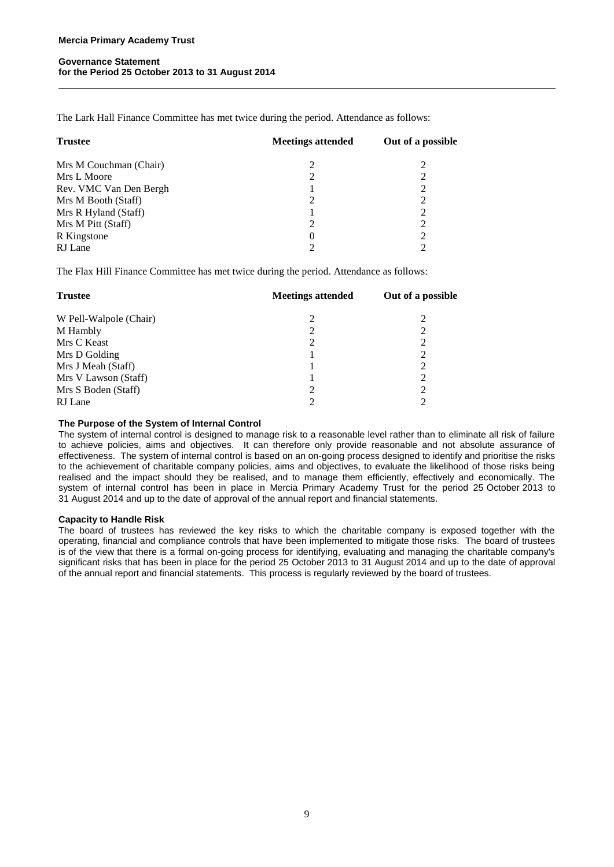The Lark Hall Finance Committee has met twice during the period. Attendance as follows:

| <b>Trustee</b>         | <b>Meetings attended</b> | Out of a possible |  |
|------------------------|--------------------------|-------------------|--|
| Mrs M Couchman (Chair) |                          | 2                 |  |
| Mrs L Moore            |                          | 2                 |  |
| Rev. VMC Van Den Bergh |                          | 2                 |  |
| Mrs M Booth (Staff)    |                          | 2                 |  |
| Mrs R Hyland (Staff)   |                          | 2                 |  |
| Mrs M Pitt (Staff)     |                          | 2                 |  |
| R Kingstone            | $\mathbf{0}$             | $\overline{2}$    |  |
| RJ Lane                |                          | $\mathfrak{D}$    |  |

The Flax Hill Finance Committee has met twice during the period. Attendance as follows:

| <b>Trustee</b>         | <b>Meetings attended</b> | Out of a possible |  |
|------------------------|--------------------------|-------------------|--|
| W Pell-Walpole (Chair) | 2                        | 2                 |  |
| M Hambly               |                          | 2                 |  |
| Mrs C Keast            |                          | 2                 |  |
| Mrs D Golding          |                          | $\overline{2}$    |  |
| Mrs J Meah (Staff)     |                          | 2                 |  |
| Mrs V Lawson (Staff)   |                          | 2                 |  |
| Mrs S Boden (Staff)    | 2                        | 2                 |  |
| RJ Lane                |                          | $\overline{2}$    |  |

### **The Purpose of the System of Internal Control**

The system of internal control is designed to manage risk to a reasonable level rather than to eliminate all risk of failure to achieve policies, aims and objectives. It can therefore only provide reasonable and not absolute assurance of effectiveness. The system of internal control is based on an on-going process designed to identify and prioritise the risks to the achievement of charitable company policies, aims and objectives, to evaluate the likelihood of those risks being realised and the impact should they be realised, and to manage them efficiently, effectively and economically. The system of internal control has been in place in Mercia Primary Academy Trust for the period 25 October 2013 to 31 August 2014 and up to the date of approval of the annual report and financial statements.

### **Capacity to Handle Risk**

The board of trustees has reviewed the key risks to which the charitable company is exposed together with the operating, financial and compliance controls that have been implemented to mitigate those risks. The board of trustees is of the view that there is a formal on-going process for identifying, evaluating and managing the charitable company's significant risks that has been in place for the period 25 October 2013 to 31 August 2014 and up to the date of approval of the annual report and financial statements. This process is regularly reviewed by the board of trustees.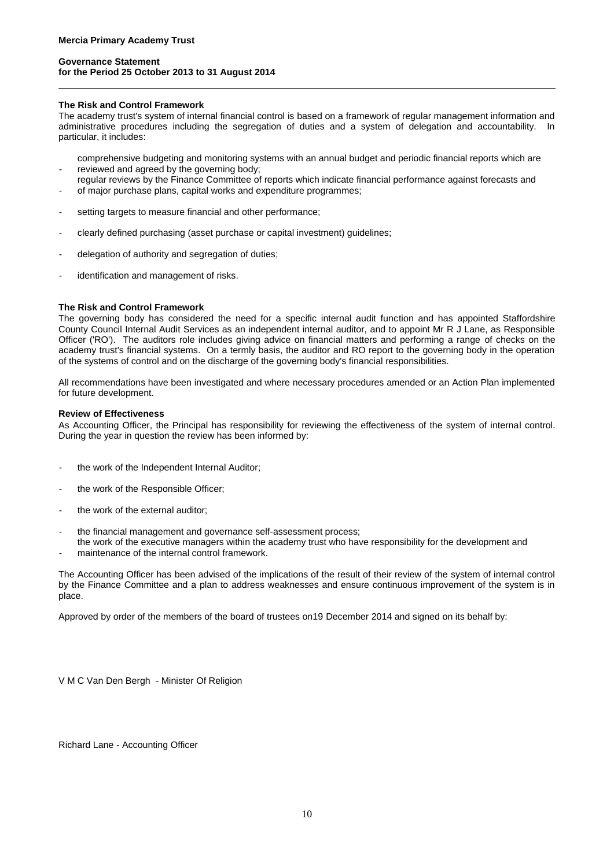# **Governance Statement for the Period 25 October 2013 to 31 August 2014**

### **The Risk and Control Framework**

The academy trust's system of internal financial control is based on a framework of regular management information and administrative procedures including the segregation of duties and a system of delegation and accountability. In particular, it includes:

- comprehensive budgeting and monitoring systems with an annual budget and periodic financial reports which are reviewed and agreed by the governing body;
- regular reviews by the Finance Committee of reports which indicate financial performance against forecasts and of major purchase plans, capital works and expenditure programmes;
- setting targets to measure financial and other performance;
- clearly defined purchasing (asset purchase or capital investment) guidelines;
- delegation of authority and segregation of duties;
- identification and management of risks.

### **The Risk and Control Framework**

The governing body has considered the need for a specific internal audit function and has appointed Staffordshire County Council Internal Audit Services as an independent internal auditor, and to appoint Mr R J Lane, as Responsible Officer ('RO'). The auditors role includes giving advice on financial matters and performing a range of checks on the academy trust's financial systems. On a termly basis, the auditor and RO report to the governing body in the operation of the systems of control and on the discharge of the governing body's financial responsibilities.

All recommendations have been investigated and where necessary procedures amended or an Action Plan implemented for future development.

### **Review of Effectiveness**

As Accounting Officer, the Principal has responsibility for reviewing the effectiveness of the system of internal control. During the year in question the review has been informed by:

- the work of the Independent Internal Auditor;
- the work of the Responsible Officer;
- the work of the external auditor;
- the financial management and governance self-assessment process;
- the work of the executive managers within the academy trust who have responsibility for the development and maintenance of the internal control framework.

The Accounting Officer has been advised of the implications of the result of their review of the system of internal control by the Finance Committee and a plan to address weaknesses and ensure continuous improvement of the system is in place.

Approved by order of the members of the board of trustees on19 December 2014 and signed on its behalf by:

V M C Van Den Bergh - Minister Of Religion

Richard Lane - Accounting Officer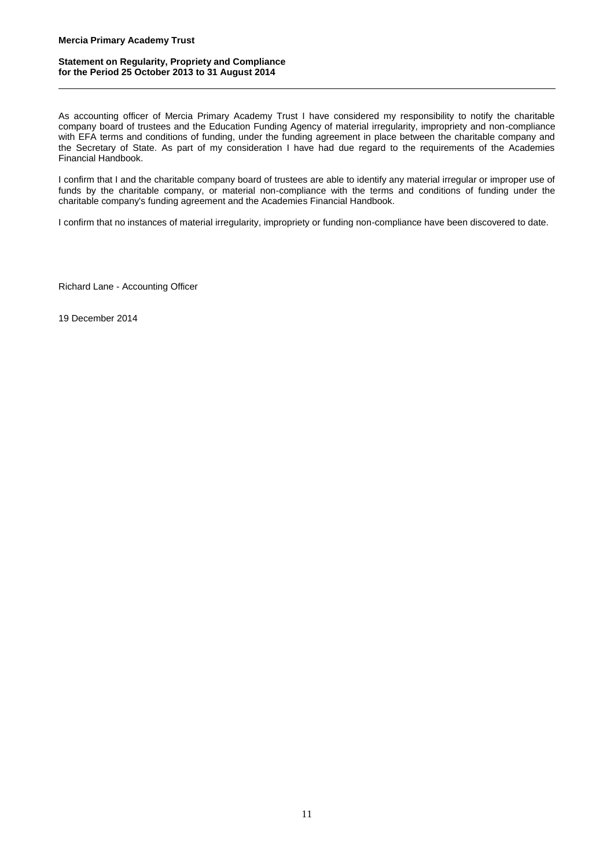### **Statement on Regularity, Propriety and Compliance for the Period 25 October 2013 to 31 August 2014**

As accounting officer of Mercia Primary Academy Trust I have considered my responsibility to notify the charitable company board of trustees and the Education Funding Agency of material irregularity, impropriety and non-compliance with EFA terms and conditions of funding, under the funding agreement in place between the charitable company and the Secretary of State. As part of my consideration I have had due regard to the requirements of the Academies Financial Handbook.

I confirm that I and the charitable company board of trustees are able to identify any material irregular or improper use of funds by the charitable company, or material non-compliance with the terms and conditions of funding under the charitable company's funding agreement and the Academies Financial Handbook.

I confirm that no instances of material irregularity, impropriety or funding non-compliance have been discovered to date.

Richard Lane - Accounting Officer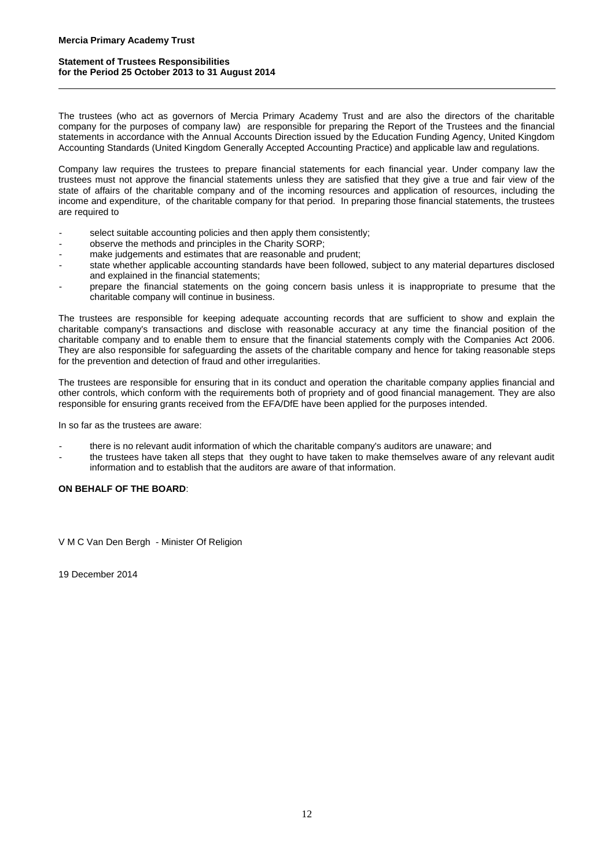### **Statement of Trustees Responsibilities for the Period 25 October 2013 to 31 August 2014**

The trustees (who act as governors of Mercia Primary Academy Trust and are also the directors of the charitable company for the purposes of company law) are responsible for preparing the Report of the Trustees and the financial statements in accordance with the Annual Accounts Direction issued by the Education Funding Agency, United Kingdom Accounting Standards (United Kingdom Generally Accepted Accounting Practice) and applicable law and regulations.

Company law requires the trustees to prepare financial statements for each financial year. Under company law the trustees must not approve the financial statements unless they are satisfied that they give a true and fair view of the state of affairs of the charitable company and of the incoming resources and application of resources, including the income and expenditure, of the charitable company for that period. In preparing those financial statements, the trustees are required to

- select suitable accounting policies and then apply them consistently;
- observe the methods and principles in the Charity SORP;
- make judgements and estimates that are reasonable and prudent;
- state whether applicable accounting standards have been followed, subject to any material departures disclosed and explained in the financial statements;
- prepare the financial statements on the going concern basis unless it is inappropriate to presume that the charitable company will continue in business.

The trustees are responsible for keeping adequate accounting records that are sufficient to show and explain the charitable company's transactions and disclose with reasonable accuracy at any time the financial position of the charitable company and to enable them to ensure that the financial statements comply with the Companies Act 2006. They are also responsible for safeguarding the assets of the charitable company and hence for taking reasonable steps for the prevention and detection of fraud and other irregularities.

The trustees are responsible for ensuring that in its conduct and operation the charitable company applies financial and other controls, which conform with the requirements both of propriety and of good financial management. They are also responsible for ensuring grants received from the EFA/DfE have been applied for the purposes intended.

In so far as the trustees are aware:

- there is no relevant audit information of which the charitable company's auditors are unaware; and
- the trustees have taken all steps that they ought to have taken to make themselves aware of any relevant audit information and to establish that the auditors are aware of that information.

### **ON BEHALF OF THE BOARD**:

V M C Van Den Bergh - Minister Of Religion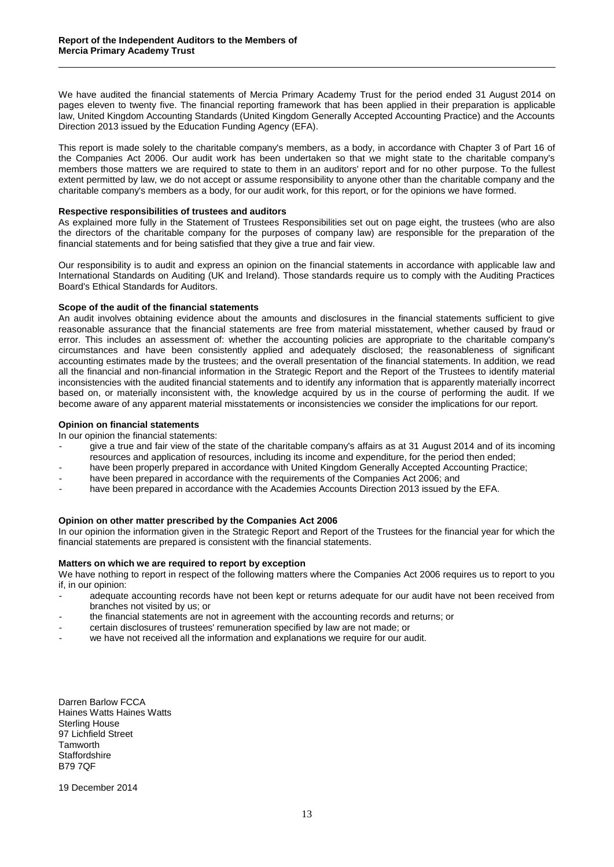We have audited the financial statements of Mercia Primary Academy Trust for the period ended 31 August 2014 on pages eleven to twenty five. The financial reporting framework that has been applied in their preparation is applicable law, United Kingdom Accounting Standards (United Kingdom Generally Accepted Accounting Practice) and the Accounts Direction 2013 issued by the Education Funding Agency (EFA).

This report is made solely to the charitable company's members, as a body, in accordance with Chapter 3 of Part 16 of the Companies Act 2006. Our audit work has been undertaken so that we might state to the charitable company's members those matters we are required to state to them in an auditors' report and for no other purpose. To the fullest extent permitted by law, we do not accept or assume responsibility to anyone other than the charitable company and the charitable company's members as a body, for our audit work, for this report, or for the opinions we have formed.

#### **Respective responsibilities of trustees and auditors**

As explained more fully in the Statement of Trustees Responsibilities set out on page eight, the trustees (who are also the directors of the charitable company for the purposes of company law) are responsible for the preparation of the financial statements and for being satisfied that they give a true and fair view.

Our responsibility is to audit and express an opinion on the financial statements in accordance with applicable law and International Standards on Auditing (UK and Ireland). Those standards require us to comply with the Auditing Practices Board's Ethical Standards for Auditors.

### **Scope of the audit of the financial statements**

An audit involves obtaining evidence about the amounts and disclosures in the financial statements sufficient to give reasonable assurance that the financial statements are free from material misstatement, whether caused by fraud or error. This includes an assessment of: whether the accounting policies are appropriate to the charitable company's circumstances and have been consistently applied and adequately disclosed; the reasonableness of significant accounting estimates made by the trustees; and the overall presentation of the financial statements. In addition, we read all the financial and non-financial information in the Strategic Report and the Report of the Trustees to identify material inconsistencies with the audited financial statements and to identify any information that is apparently materially incorrect based on, or materially inconsistent with, the knowledge acquired by us in the course of performing the audit. If we become aware of any apparent material misstatements or inconsistencies we consider the implications for our report.

### **Opinion on financial statements**

In our opinion the financial statements:

- give a true and fair view of the state of the charitable company's affairs as at 31 August 2014 and of its incoming resources and application of resources, including its income and expenditure, for the period then ended;
- have been properly prepared in accordance with United Kingdom Generally Accepted Accounting Practice;
- have been prepared in accordance with the requirements of the Companies Act 2006; and
- have been prepared in accordance with the Academies Accounts Direction 2013 issued by the EFA.

### **Opinion on other matter prescribed by the Companies Act 2006**

In our opinion the information given in the Strategic Report and Report of the Trustees for the financial year for which the financial statements are prepared is consistent with the financial statements.

### **Matters on which we are required to report by exception**

We have nothing to report in respect of the following matters where the Companies Act 2006 requires us to report to you if, in our opinion:

- adequate accounting records have not been kept or returns adequate for our audit have not been received from branches not visited by us; or
- the financial statements are not in agreement with the accounting records and returns; or
- certain disclosures of trustees' remuneration specified by law are not made; or
- we have not received all the information and explanations we require for our audit.

Darren Barlow FCCA Haines Watts Haines Watts Sterling House 97 Lichfield Street **Tamworth Staffordshire** B79 7QF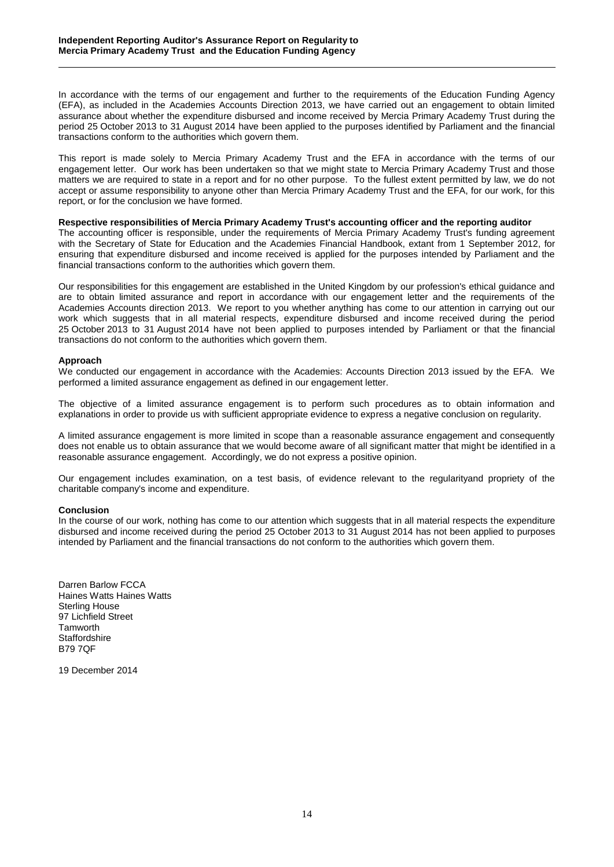In accordance with the terms of our engagement and further to the requirements of the Education Funding Agency (EFA), as included in the Academies Accounts Direction 2013, we have carried out an engagement to obtain limited assurance about whether the expenditure disbursed and income received by Mercia Primary Academy Trust during the period 25 October 2013 to 31 August 2014 have been applied to the purposes identified by Parliament and the financial transactions conform to the authorities which govern them.

This report is made solely to Mercia Primary Academy Trust and the EFA in accordance with the terms of our engagement letter. Our work has been undertaken so that we might state to Mercia Primary Academy Trust and those matters we are required to state in a report and for no other purpose. To the fullest extent permitted by law, we do not accept or assume responsibility to anyone other than Mercia Primary Academy Trust and the EFA, for our work, for this report, or for the conclusion we have formed.

### **Respective responsibilities of Mercia Primary Academy Trust's accounting officer and the reporting auditor**

The accounting officer is responsible, under the requirements of Mercia Primary Academy Trust's funding agreement with the Secretary of State for Education and the Academies Financial Handbook, extant from 1 September 2012, for ensuring that expenditure disbursed and income received is applied for the purposes intended by Parliament and the financial transactions conform to the authorities which govern them.

Our responsibilities for this engagement are established in the United Kingdom by our profession's ethical guidance and are to obtain limited assurance and report in accordance with our engagement letter and the requirements of the Academies Accounts direction 2013. We report to you whether anything has come to our attention in carrying out our work which suggests that in all material respects, expenditure disbursed and income received during the period 25 October 2013 to 31 August 2014 have not been applied to purposes intended by Parliament or that the financial transactions do not conform to the authorities which govern them.

### **Approach**

We conducted our engagement in accordance with the Academies: Accounts Direction 2013 issued by the EFA. We performed a limited assurance engagement as defined in our engagement letter.

The objective of a limited assurance engagement is to perform such procedures as to obtain information and explanations in order to provide us with sufficient appropriate evidence to express a negative conclusion on regularity.

A limited assurance engagement is more limited in scope than a reasonable assurance engagement and consequently does not enable us to obtain assurance that we would become aware of all significant matter that might be identified in a reasonable assurance engagement. Accordingly, we do not express a positive opinion.

Our engagement includes examination, on a test basis, of evidence relevant to the regularityand propriety of the charitable company's income and expenditure.

### **Conclusion**

In the course of our work, nothing has come to our attention which suggests that in all material respects the expenditure disbursed and income received during the period 25 October 2013 to 31 August 2014 has not been applied to purposes intended by Parliament and the financial transactions do not conform to the authorities which govern them.

Darren Barlow FCCA Haines Watts Haines Watts Sterling House 97 Lichfield Street **Tamworth Staffordshire** B79 7QF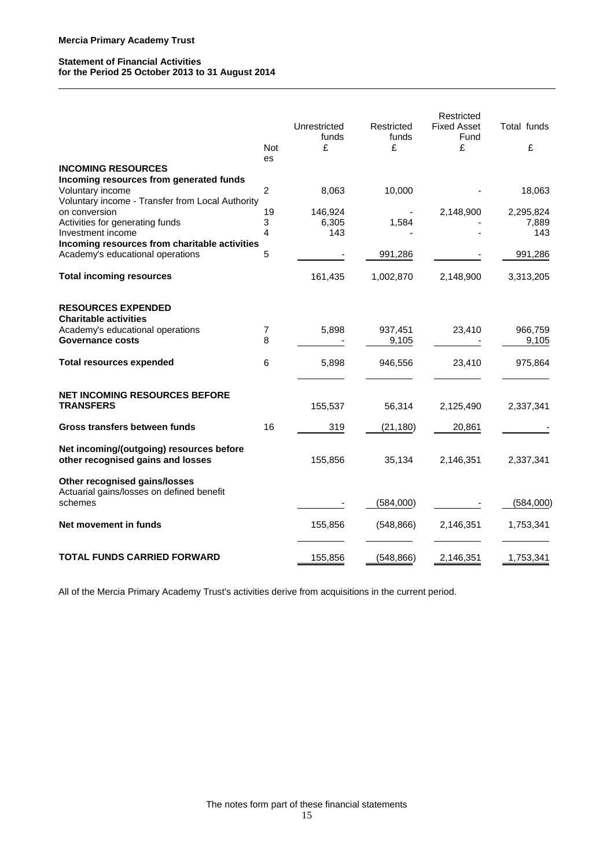## **Statement of Financial Activities for the Period 25 October 2013 to 31 August 2014**

|                                                                                               | Not<br>es      | Unrestricted<br>funds<br>£ | Restricted<br>funds<br>£ | Restricted<br><b>Fixed Asset</b><br>Fund<br>£ | Total funds<br>£ |
|-----------------------------------------------------------------------------------------------|----------------|----------------------------|--------------------------|-----------------------------------------------|------------------|
| <b>INCOMING RESOURCES</b>                                                                     |                |                            |                          |                                               |                  |
| Incoming resources from generated funds<br>Voluntary income                                   | $\overline{2}$ | 8,063                      | 10,000                   |                                               | 18,063           |
| Voluntary income - Transfer from Local Authority                                              |                |                            |                          |                                               |                  |
| on conversion                                                                                 | 19             | 146,924                    |                          | 2,148,900                                     | 2,295,824        |
| Activities for generating funds                                                               | 3              | 6,305                      | 1,584                    |                                               | 7,889            |
| Investment income<br>Incoming resources from charitable activities                            | 4              | 143                        |                          |                                               | 143              |
| Academy's educational operations                                                              | 5              |                            | 991,286                  |                                               | 991,286          |
|                                                                                               |                |                            |                          |                                               |                  |
| <b>Total incoming resources</b>                                                               |                | 161,435                    | 1,002,870                | 2,148,900                                     | 3,313,205        |
| <b>RESOURCES EXPENDED</b><br><b>Charitable activities</b><br>Academy's educational operations | 7              | 5,898                      | 937,451                  | 23,410                                        | 966,759          |
| <b>Governance costs</b>                                                                       | 8              |                            | 9,105                    |                                               | 9,105            |
|                                                                                               |                |                            |                          |                                               |                  |
| <b>Total resources expended</b>                                                               | 6              | 5,898                      | 946,556                  | 23,410                                        | 975,864          |
| <b>NET INCOMING RESOURCES BEFORE</b><br><b>TRANSFERS</b>                                      |                | 155,537                    | 56,314                   | 2,125,490                                     | 2,337,341        |
| Gross transfers between funds                                                                 | 16             | 319                        | (21, 180)                | 20,861                                        |                  |
| Net incoming/(outgoing) resources before<br>other recognised gains and losses                 |                | 155,856                    | 35,134                   | 2,146,351                                     | 2,337,341        |
| Other recognised gains/losses<br>Actuarial gains/losses on defined benefit                    |                |                            |                          |                                               |                  |
| schemes                                                                                       |                |                            | (584,000)                |                                               | (584,000)        |
| Net movement in funds                                                                         |                | 155,856                    | (548, 866)               | 2,146,351                                     | 1,753,341        |
| <b>TOTAL FUNDS CARRIED FORWARD</b>                                                            |                | 155,856                    | (548,866)                | 2,146,351                                     | 1,753,341        |

All of the Mercia Primary Academy Trust's activities derive from acquisitions in the current period.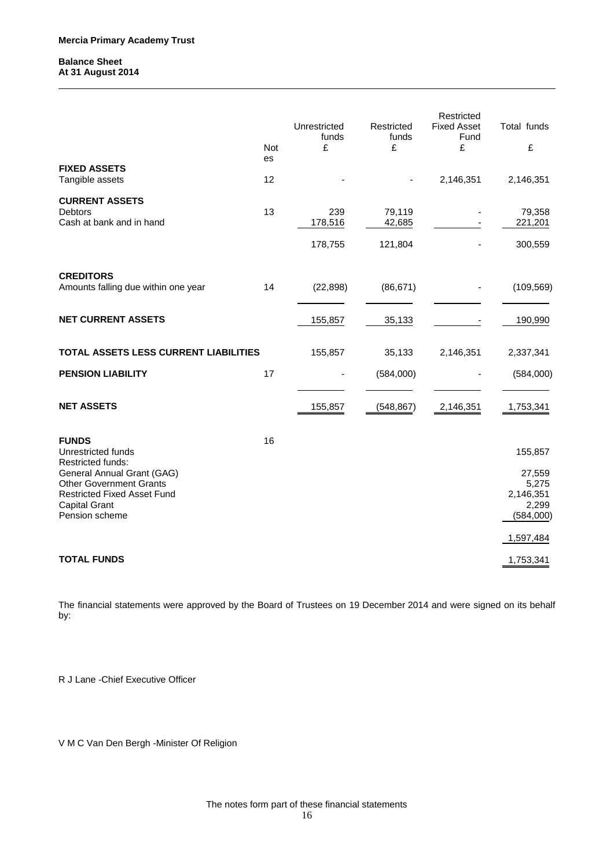### **Balance Sheet At 31 August 2014**

|                                                                                                                                              | <b>Not</b><br>es | Unrestricted<br>funds<br>£ | Restricted<br>funds<br>£ | Restricted<br><b>Fixed Asset</b><br>Fund<br>£ | Total funds<br>£                                   |
|----------------------------------------------------------------------------------------------------------------------------------------------|------------------|----------------------------|--------------------------|-----------------------------------------------|----------------------------------------------------|
| <b>FIXED ASSETS</b><br>Tangible assets                                                                                                       | 12               |                            |                          | 2,146,351                                     | 2,146,351                                          |
| <b>CURRENT ASSETS</b><br><b>Debtors</b><br>Cash at bank and in hand                                                                          | 13               | 239<br>178,516             | 79,119<br>42,685         |                                               | 79,358<br>221,201                                  |
|                                                                                                                                              |                  | 178,755                    | 121,804                  |                                               | 300,559                                            |
| <b>CREDITORS</b><br>Amounts falling due within one year                                                                                      | 14               | (22, 898)                  | (86, 671)                |                                               | (109, 569)                                         |
| <b>NET CURRENT ASSETS</b>                                                                                                                    |                  | 155,857                    | 35,133                   |                                               | 190,990                                            |
| TOTAL ASSETS LESS CURRENT LIABILITIES                                                                                                        |                  | 155,857                    | 35,133                   | 2,146,351                                     | 2,337,341                                          |
| <b>PENSION LIABILITY</b>                                                                                                                     | 17               |                            | (584,000)                |                                               | (584,000)                                          |
| <b>NET ASSETS</b>                                                                                                                            |                  | 155,857                    | (548, 867)               | 2,146,351                                     | 1,753,341                                          |
| <b>FUNDS</b><br>Unrestricted funds<br><b>Restricted funds:</b>                                                                               | 16               |                            |                          |                                               | 155,857                                            |
| General Annual Grant (GAG)<br><b>Other Government Grants</b><br><b>Restricted Fixed Asset Fund</b><br><b>Capital Grant</b><br>Pension scheme |                  |                            |                          |                                               | 27,559<br>5,275<br>2,146,351<br>2,299<br>(584,000) |
|                                                                                                                                              |                  |                            |                          |                                               | 1,597,484                                          |
| <b>TOTAL FUNDS</b>                                                                                                                           |                  |                            |                          |                                               | 1,753,341                                          |

The financial statements were approved by the Board of Trustees on 19 December 2014 and were signed on its behalf by:

R J Lane -Chief Executive Officer

V M C Van Den Bergh -Minister Of Religion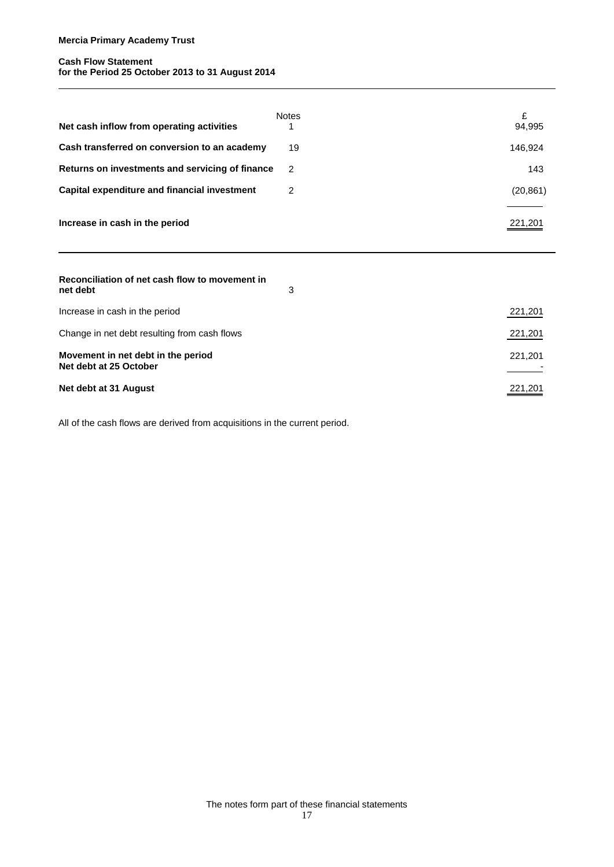# **Mercia Primary Academy Trust**

# **Cash Flow Statement for the Period 25 October 2013 to 31 August 2014**

| Net cash inflow from operating activities       | <b>Notes</b> | £<br>94,995 |
|-------------------------------------------------|--------------|-------------|
| Cash transferred on conversion to an academy    | 19           | 146,924     |
| Returns on investments and servicing of finance | -2           | 143         |
| Capital expenditure and financial investment    | 2            | (20, 861)   |
| Increase in cash in the period                  |              | 221,201     |

| Reconciliation of net cash flow to movement in<br>net debt   | 3 |         |
|--------------------------------------------------------------|---|---------|
| Increase in cash in the period                               |   | 221,201 |
| Change in net debt resulting from cash flows                 |   | 221,201 |
| Movement in net debt in the period<br>Net debt at 25 October |   | 221,201 |
| Net debt at 31 August                                        |   | 221,201 |

All of the cash flows are derived from acquisitions in the current period.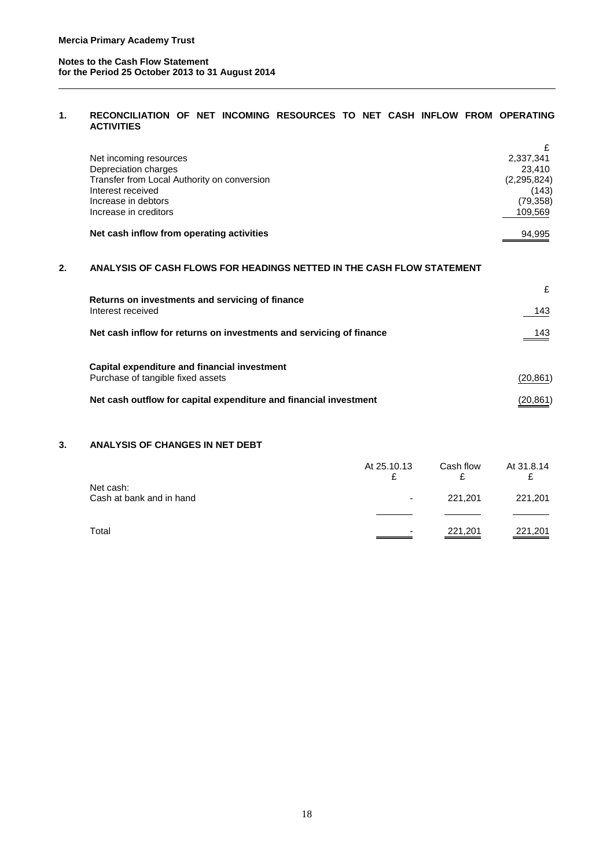### **Notes to the Cash Flow Statement for the Period 25 October 2013 to 31 August 2014**

### **1. RECONCILIATION OF NET INCOMING RESOURCES TO NET CASH INFLOW FROM OPERATING ACTIVITIES**

| Net incoming resources                      | 2,337,341     |
|---------------------------------------------|---------------|
| Depreciation charges                        | 23.410        |
| Transfer from Local Authority on conversion | (2, 295, 824) |
| Interest received                           | (143)         |
| Increase in debtors                         | (79, 358)     |
| Increase in creditors                       | 109,569       |
| Net cash inflow from operating activities   | 94,995        |

# **2. ANALYSIS OF CASH FLOWS FOR HEADINGS NETTED IN THE CASH FLOW STATEMENT**

| Returns on investments and servicing of finance                     | £         |
|---------------------------------------------------------------------|-----------|
| Interest received                                                   | 143       |
| Net cash inflow for returns on investments and servicing of finance | 143       |
| Capital expenditure and financial investment                        |           |
| Purchase of tangible fixed assets                                   | (20, 861) |
| Net cash outflow for capital expenditure and financial investment   | (20,861)  |

# **3. ANALYSIS OF CHANGES IN NET DEBT**

|                                       | At 25.10.13<br>£         | Cash flow | At 31.8.14 |
|---------------------------------------|--------------------------|-----------|------------|
| Net cash:<br>Cash at bank and in hand | $\overline{\phantom{a}}$ | 221.201   | 221,201    |
| Total                                 | ۰                        | 221,201   | 221,201    |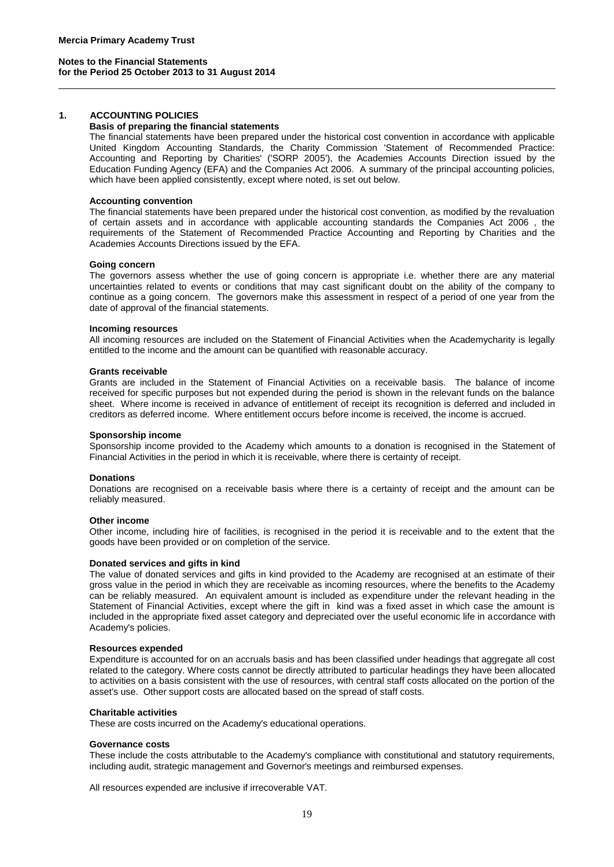### **1. ACCOUNTING POLICIES**

### **Basis of preparing the financial statements**

The financial statements have been prepared under the historical cost convention in accordance with applicable United Kingdom Accounting Standards, the Charity Commission 'Statement of Recommended Practice: Accounting and Reporting by Charities' ('SORP 2005'), the Academies Accounts Direction issued by the Education Funding Agency (EFA) and the Companies Act 2006. A summary of the principal accounting policies, which have been applied consistently, except where noted, is set out below.

#### **Accounting convention**

The financial statements have been prepared under the historical cost convention, as modified by the revaluation of certain assets and in accordance with applicable accounting standards the Companies Act 2006 , the requirements of the Statement of Recommended Practice Accounting and Reporting by Charities and the Academies Accounts Directions issued by the EFA.

#### **Going concern**

The governors assess whether the use of going concern is appropriate i.e. whether there are any material uncertainties related to events or conditions that may cast significant doubt on the ability of the company to continue as a going concern. The governors make this assessment in respect of a period of one year from the date of approval of the financial statements.

#### **Incoming resources**

All incoming resources are included on the Statement of Financial Activities when the Academycharity is legally entitled to the income and the amount can be quantified with reasonable accuracy.

#### **Grants receivable**

Grants are included in the Statement of Financial Activities on a receivable basis. The balance of income received for specific purposes but not expended during the period is shown in the relevant funds on the balance sheet. Where income is received in advance of entitlement of receipt its recognition is deferred and included in creditors as deferred income. Where entitlement occurs before income is received, the income is accrued.

#### **Sponsorship income**

Sponsorship income provided to the Academy which amounts to a donation is recognised in the Statement of Financial Activities in the period in which it is receivable, where there is certainty of receipt.

### **Donations**

Donations are recognised on a receivable basis where there is a certainty of receipt and the amount can be reliably measured.

### **Other income**

Other income, including hire of facilities, is recognised in the period it is receivable and to the extent that the goods have been provided or on completion of the service.

### **Donated services and gifts in kind**

The value of donated services and gifts in kind provided to the Academy are recognised at an estimate of their gross value in the period in which they are receivable as incoming resources, where the benefits to the Academy can be reliably measured. An equivalent amount is included as expenditure under the relevant heading in the Statement of Financial Activities, except where the gift in kind was a fixed asset in which case the amount is included in the appropriate fixed asset category and depreciated over the useful economic life in accordance with Academy's policies.

#### **Resources expended**

Expenditure is accounted for on an accruals basis and has been classified under headings that aggregate all cost related to the category. Where costs cannot be directly attributed to particular headings they have been allocated to activities on a basis consistent with the use of resources, with central staff costs allocated on the portion of the asset's use. Other support costs are allocated based on the spread of staff costs.

### **Charitable activities**

These are costs incurred on the Academy's educational operations.

### **Governance costs**

These include the costs attributable to the Academy's compliance with constitutional and statutory requirements, including audit, strategic management and Governor's meetings and reimbursed expenses.

All resources expended are inclusive if irrecoverable VAT.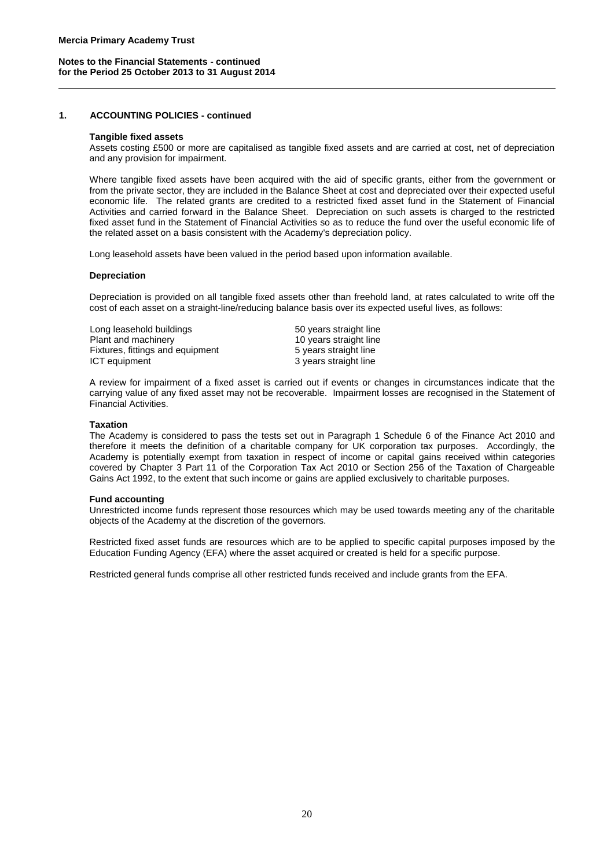### **1. ACCOUNTING POLICIES - continued**

#### **Tangible fixed assets**

Assets costing £500 or more are capitalised as tangible fixed assets and are carried at cost, net of depreciation and any provision for impairment.

Where tangible fixed assets have been acquired with the aid of specific grants, either from the government or from the private sector, they are included in the Balance Sheet at cost and depreciated over their expected useful economic life. The related grants are credited to a restricted fixed asset fund in the Statement of Financial Activities and carried forward in the Balance Sheet. Depreciation on such assets is charged to the restricted fixed asset fund in the Statement of Financial Activities so as to reduce the fund over the useful economic life of the related asset on a basis consistent with the Academy's depreciation policy.

Long leasehold assets have been valued in the period based upon information available.

### **Depreciation**

Depreciation is provided on all tangible fixed assets other than freehold land, at rates calculated to write off the cost of each asset on a straight-line/reducing balance basis over its expected useful lives, as follows:

Long leasehold buildings 50 years straight line Plant and machinery 10 years straight line<br>
Fixtures, fittings and equipment 5 years straight line Fixtures, fittings and equipment ICT equipment 3 years straight line

A review for impairment of a fixed asset is carried out if events or changes in circumstances indicate that the carrying value of any fixed asset may not be recoverable. Impairment losses are recognised in the Statement of Financial Activities.

### **Taxation**

The Academy is considered to pass the tests set out in Paragraph 1 Schedule 6 of the Finance Act 2010 and therefore it meets the definition of a charitable company for UK corporation tax purposes. Accordingly, the Academy is potentially exempt from taxation in respect of income or capital gains received within categories covered by Chapter 3 Part 11 of the Corporation Tax Act 2010 or Section 256 of the Taxation of Chargeable Gains Act 1992, to the extent that such income or gains are applied exclusively to charitable purposes.

#### **Fund accounting**

Unrestricted income funds represent those resources which may be used towards meeting any of the charitable objects of the Academy at the discretion of the governors.

Restricted fixed asset funds are resources which are to be applied to specific capital purposes imposed by the Education Funding Agency (EFA) where the asset acquired or created is held for a specific purpose.

Restricted general funds comprise all other restricted funds received and include grants from the EFA.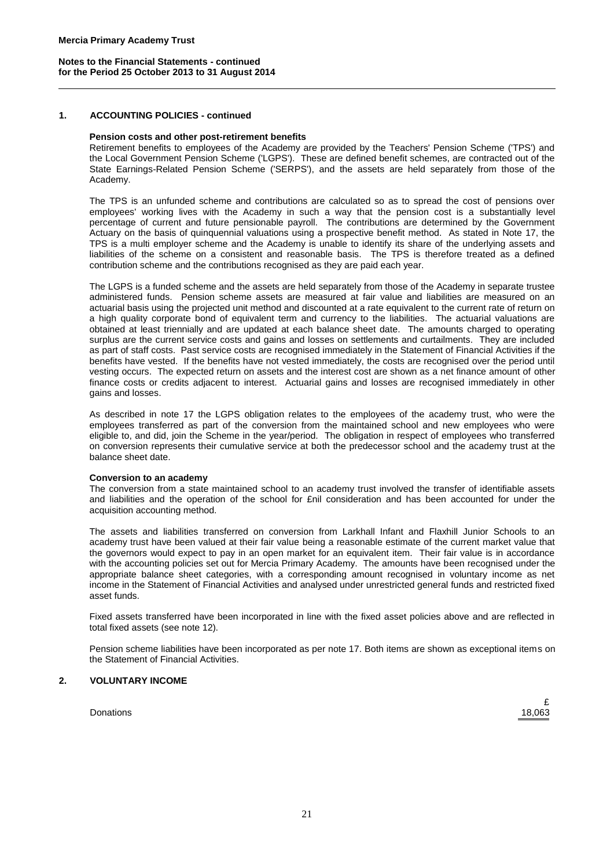### **1. ACCOUNTING POLICIES - continued**

#### **Pension costs and other post-retirement benefits**

Retirement benefits to employees of the Academy are provided by the Teachers' Pension Scheme ('TPS') and the Local Government Pension Scheme ('LGPS'). These are defined benefit schemes, are contracted out of the State Earnings-Related Pension Scheme ('SERPS'), and the assets are held separately from those of the Academy.

The TPS is an unfunded scheme and contributions are calculated so as to spread the cost of pensions over employees' working lives with the Academy in such a way that the pension cost is a substantially level percentage of current and future pensionable payroll. The contributions are determined by the Government Actuary on the basis of quinquennial valuations using a prospective benefit method. As stated in Note 17, the TPS is a multi employer scheme and the Academy is unable to identify its share of the underlying assets and liabilities of the scheme on a consistent and reasonable basis. The TPS is therefore treated as a defined contribution scheme and the contributions recognised as they are paid each year.

The LGPS is a funded scheme and the assets are held separately from those of the Academy in separate trustee administered funds. Pension scheme assets are measured at fair value and liabilities are measured on an actuarial basis using the projected unit method and discounted at a rate equivalent to the current rate of return on a high quality corporate bond of equivalent term and currency to the liabilities. The actuarial valuations are obtained at least triennially and are updated at each balance sheet date. The amounts charged to operating surplus are the current service costs and gains and losses on settlements and curtailments. They are included as part of staff costs. Past service costs are recognised immediately in the Statement of Financial Activities if the benefits have vested. If the benefits have not vested immediately, the costs are recognised over the period until vesting occurs. The expected return on assets and the interest cost are shown as a net finance amount of other finance costs or credits adjacent to interest. Actuarial gains and losses are recognised immediately in other gains and losses.

As described in note 17 the LGPS obligation relates to the employees of the academy trust, who were the employees transferred as part of the conversion from the maintained school and new employees who were eligible to, and did, join the Scheme in the year/period. The obligation in respect of employees who transferred on conversion represents their cumulative service at both the predecessor school and the academy trust at the balance sheet date.

### **Conversion to an academy**

The conversion from a state maintained school to an academy trust involved the transfer of identifiable assets and liabilities and the operation of the school for £nil consideration and has been accounted for under the acquisition accounting method.

The assets and liabilities transferred on conversion from Larkhall Infant and Flaxhill Junior Schools to an academy trust have been valued at their fair value being a reasonable estimate of the current market value that the governors would expect to pay in an open market for an equivalent item. Their fair value is in accordance with the accounting policies set out for Mercia Primary Academy. The amounts have been recognised under the appropriate balance sheet categories, with a corresponding amount recognised in voluntary income as net income in the Statement of Financial Activities and analysed under unrestricted general funds and restricted fixed asset funds.

Fixed assets transferred have been incorporated in line with the fixed asset policies above and are reflected in total fixed assets (see note 12).

Pension scheme liabilities have been incorporated as per note 17. Both items are shown as exceptional items on the Statement of Financial Activities.

### **2. VOLUNTARY INCOME**

Donations 18,063

£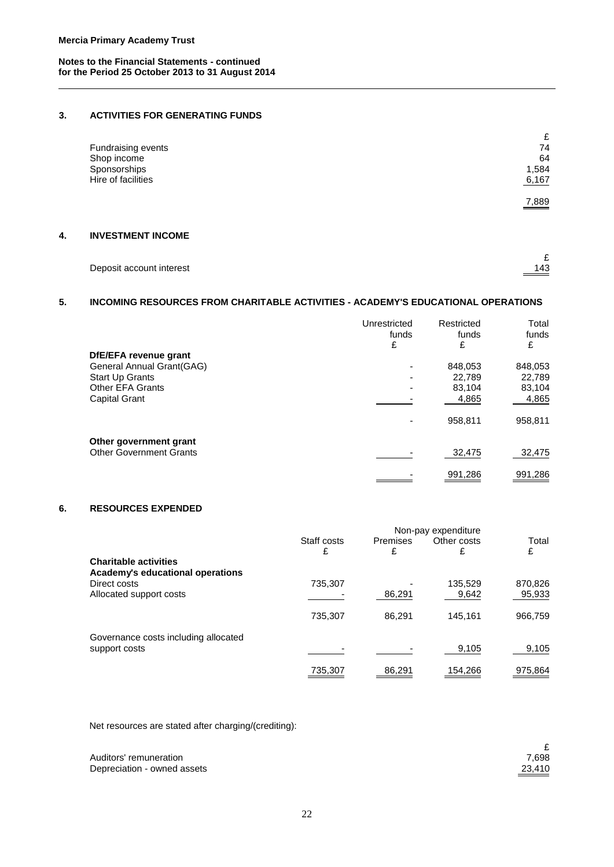# **3. ACTIVITIES FOR GENERATING FUNDS**

|                    | £     |
|--------------------|-------|
| Fundraising events | 74    |
| Shop income        | 64    |
| Sponsorships       | 1,584 |
| Hire of facilities | 6,167 |
|                    | 7,889 |

# **4. INVESTMENT INCOME**

| Deposit account interest | 143<br>the contract of the contract of the contract of |
|--------------------------|--------------------------------------------------------|

# **5. INCOMING RESOURCES FROM CHARITABLE ACTIVITIES - ACADEMY'S EDUCATIONAL OPERATIONS**

|                                | Unrestricted<br>funds | Restricted<br>funds | Total<br>funds |
|--------------------------------|-----------------------|---------------------|----------------|
|                                | £                     | £                   | £              |
| DfE/EFA revenue grant          |                       |                     |                |
| General Annual Grant(GAG)      | -                     | 848,053             | 848,053        |
| Start Up Grants                | ٠                     | 22,789              | 22,789         |
| Other EFA Grants               | ٠                     | 83.104              | 83,104         |
| Capital Grant                  |                       | 4,865               | 4,865          |
|                                | -                     | 958,811             | 958,811        |
| Other government grant         |                       |                     |                |
| <b>Other Government Grants</b> |                       | 32,475              | 32,475         |
|                                |                       | 991,286             | 991,286        |

### **6. RESOURCES EXPENDED**

|                                      | Non-pay expenditure |          |             |         |
|--------------------------------------|---------------------|----------|-------------|---------|
|                                      | Staff costs         | Premises | Other costs | Total   |
|                                      | £                   | £        | £           | £       |
| <b>Charitable activities</b>         |                     |          |             |         |
| Academy's educational operations     |                     |          |             |         |
| Direct costs                         | 735,307             |          | 135,529     | 870,826 |
| Allocated support costs              |                     | 86,291   | 9,642       | 95,933  |
|                                      | 735,307             | 86,291   | 145,161     | 966,759 |
| Governance costs including allocated |                     |          |             |         |
| support costs                        |                     |          | 9,105       | 9,105   |
|                                      | 735,307             | 86,291   | 154,266     | 975,864 |

Net resources are stated after charging/(crediting):

Auditors' remuneration Depreciation - owned assets

| £      |
|--------|
| 7,698  |
| 23.410 |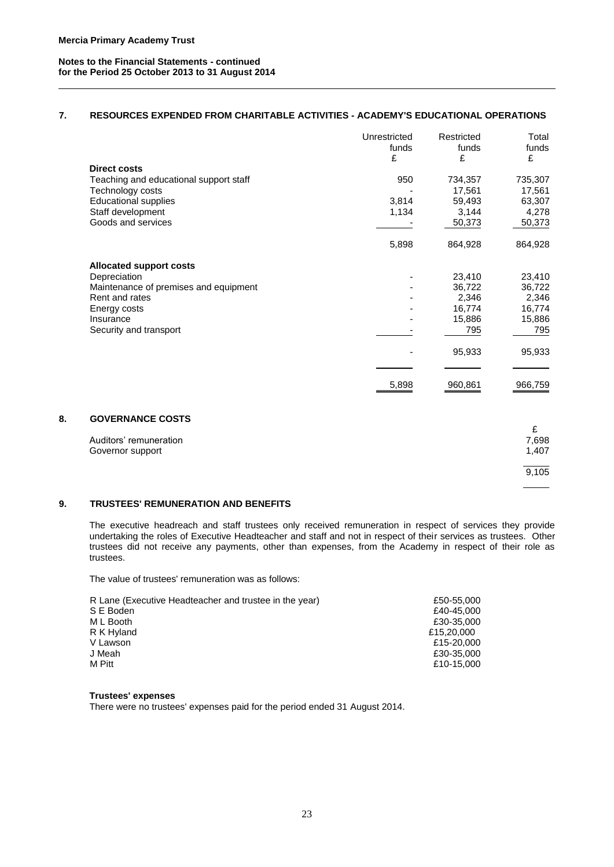### **7. RESOURCES EXPENDED FROM CHARITABLE ACTIVITIES - ACADEMY'S EDUCATIONAL OPERATIONS**

|                                        | Unrestricted | Restricted | Total   |
|----------------------------------------|--------------|------------|---------|
|                                        | funds        | funds      | funds   |
|                                        | £            | £          | £       |
| <b>Direct costs</b>                    |              |            |         |
| Teaching and educational support staff | 950          | 734,357    | 735,307 |
| Technology costs                       |              | 17,561     | 17,561  |
| <b>Educational supplies</b>            | 3,814        | 59,493     | 63,307  |
| Staff development                      | 1,134        | 3,144      | 4,278   |
| Goods and services                     |              | 50,373     | 50,373  |
|                                        | 5,898        | 864,928    | 864,928 |
| <b>Allocated support costs</b>         |              |            |         |
| Depreciation                           |              | 23,410     | 23,410  |
| Maintenance of premises and equipment  |              | 36,722     | 36,722  |
| Rent and rates                         |              | 2,346      | 2,346   |
| Energy costs                           |              | 16,774     | 16,774  |
| Insurance                              |              | 15,886     | 15,886  |
| Security and transport                 |              | 795        | 795     |
|                                        |              | 95,933     | 95,933  |
|                                        |              |            |         |
|                                        | 5,898        | 960,861    | 966,759 |

### **8. GOVERNANCE COSTS**

|                        | ∼     |
|------------------------|-------|
| Auditors' remuneration | 7,698 |
| Governor support       | 1,407 |
|                        | 9,105 |
|                        |       |

## **9. TRUSTEES' REMUNERATION AND BENEFITS**

The executive headreach and staff trustees only received remuneration in respect of services they provide undertaking the roles of Executive Headteacher and staff and not in respect of their services as trustees. Other trustees did not receive any payments, other than expenses, from the Academy in respect of their role as trustees.

The value of trustees' remuneration was as follows:

| R Lane (Executive Headteacher and trustee in the year) | £50-55,000 |
|--------------------------------------------------------|------------|
| S E Boden                                              | £40-45.000 |
| M L Booth                                              | £30-35.000 |
| R K Hyland                                             | £15,20,000 |
| V Lawson                                               | £15-20,000 |
| J Meah                                                 | £30-35.000 |
| M Pitt                                                 | £10-15,000 |

### **Trustees' expenses**

There were no trustees' expenses paid for the period ended 31 August 2014.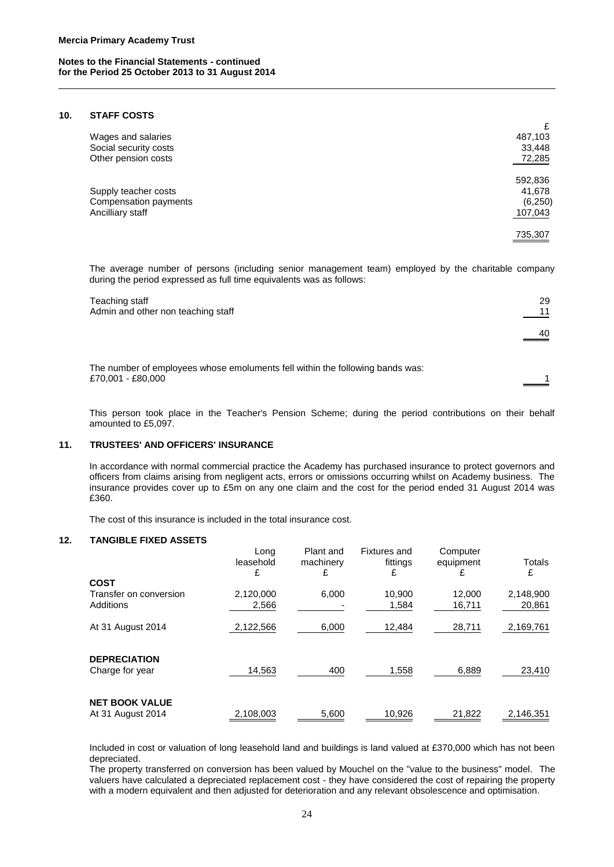#### **10. STAFF COSTS**

|                       | £       |
|-----------------------|---------|
| Wages and salaries    | 487,103 |
| Social security costs | 33,448  |
| Other pension costs   | 72,285  |
|                       | 592,836 |
| Supply teacher costs  | 41,678  |
| Compensation payments | (6,250) |
| Ancilliary staff      | 107,043 |
|                       | 735,307 |

The average number of persons (including senior management team) employed by the charitable company during the period expressed as full time equivalents was as follows:

| Teaching staff<br>Admin and other non teaching staff                                               | 29 |
|----------------------------------------------------------------------------------------------------|----|
|                                                                                                    |    |
| The number of employees whose emoluments fell within the following bands was:<br>£70,001 - £80,000 |    |

This person took place in the Teacher's Pension Scheme; during the period contributions on their behalf amounted to £5,097.

# **11. TRUSTEES' AND OFFICERS' INSURANCE**

In accordance with normal commercial practice the Academy has purchased insurance to protect governors and officers from claims arising from negligent acts, errors or omissions occurring whilst on Academy business. The insurance provides cover up to £5m on any one claim and the cost for the period ended 31 August 2014 was £360.

The cost of this insurance is included in the total insurance cost.

#### **12. TANGIBLE FIXED ASSETS**

|                                            | Long<br>leasehold<br>£ | Plant and<br>machinery<br>£ | Fixtures and<br>fittings<br>£ | Computer<br>equipment<br>£ | Totals<br>£         |
|--------------------------------------------|------------------------|-----------------------------|-------------------------------|----------------------------|---------------------|
| <b>COST</b>                                |                        |                             |                               |                            |                     |
| Transfer on conversion<br><b>Additions</b> | 2.120.000<br>2,566     | 6.000                       | 10.900<br>1,584               | 12,000<br>16,711           | 2,148,900<br>20,861 |
| At 31 August 2014                          | 2,122,566              | 6,000                       | 12,484                        | 28,711                     | 2,169,761           |
| <b>DEPRECIATION</b><br>Charge for year     | 14,563                 | 400                         | 1,558                         | 6,889                      | 23,410              |
| <b>NET BOOK VALUE</b><br>At 31 August 2014 | 2,108,003              | 5,600                       | 10,926                        | 21,822                     | 2,146,351           |

Included in cost or valuation of long leasehold land and buildings is land valued at £370,000 which has not been depreciated.

The property transferred on conversion has been valued by Mouchel on the "value to the business" model. The valuers have calculated a depreciated replacement cost - they have considered the cost of repairing the property with a modern equivalent and then adjusted for deterioration and any relevant obsolescence and optimisation.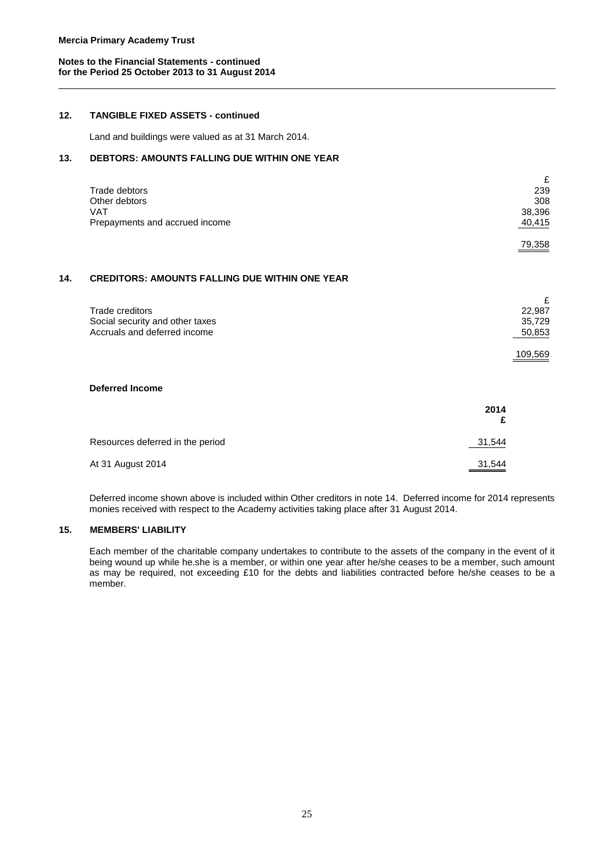### **12. TANGIBLE FIXED ASSETS - continued**

Land and buildings were valued as at 31 March 2014.

### **13. DEBTORS: AMOUNTS FALLING DUE WITHIN ONE YEAR**

|                                | £      |
|--------------------------------|--------|
| Trade debtors                  | 239    |
| Other debtors                  | 308    |
| <b>VAT</b>                     | 38,396 |
| Prepayments and accrued income | 40,415 |
|                                |        |

79,358

# **14. CREDITORS: AMOUNTS FALLING DUE WITHIN ONE YEAR**

| Trade creditors                 | 22,987  |
|---------------------------------|---------|
| Social security and other taxes | 35.729  |
| Accruals and deferred income    | 50,853  |
|                                 |         |
|                                 | 109.569 |

# **Deferred Income**

|                                  | 2014   |
|----------------------------------|--------|
| Resources deferred in the period | 31,544 |
| At 31 August 2014                | 31,544 |

Deferred income shown above is included within Other creditors in note 14. Deferred income for 2014 represents monies received with respect to the Academy activities taking place after 31 August 2014.

# **15. MEMBERS' LIABILITY**

Each member of the charitable company undertakes to contribute to the assets of the company in the event of it being wound up while he.she is a member, or within one year after he/she ceases to be a member, such amount as may be required, not exceeding £10 for the debts and liabilities contracted before he/she ceases to be a member.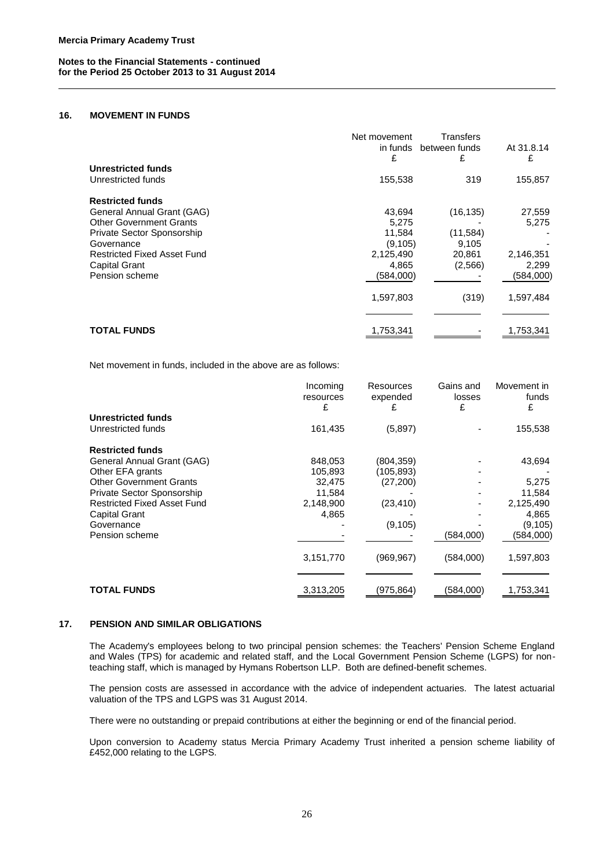### **16. MOVEMENT IN FUNDS**

|                                    | Net movement<br>in funds<br>£ | Transfers<br>between funds<br>£ | At 31.8.14<br>£ |
|------------------------------------|-------------------------------|---------------------------------|-----------------|
| <b>Unrestricted funds</b>          |                               |                                 |                 |
| Unrestricted funds                 | 155,538                       | 319                             | 155,857         |
| <b>Restricted funds</b>            |                               |                                 |                 |
| General Annual Grant (GAG)         | 43,694                        | (16, 135)                       | 27,559          |
| <b>Other Government Grants</b>     | 5,275                         |                                 | 5,275           |
| Private Sector Sponsorship         | 11,584                        | (11, 584)                       |                 |
| Governance                         | (9, 105)                      | 9,105                           |                 |
| <b>Restricted Fixed Asset Fund</b> | 2,125,490                     | 20,861                          | 2,146,351       |
| Capital Grant                      | 4,865                         | (2,566)                         | 2,299           |
| Pension scheme                     | (584,000)                     |                                 | (584,000)       |
|                                    | 1,597,803                     | (319)                           | 1,597,484       |
| <b>TOTAL FUNDS</b>                 | 1,753,341                     |                                 | 1,753,341       |

Net movement in funds, included in the above are as follows:

|                                    | Incoming<br>resources | Resources<br>expended | Gains and<br>losses | Movement in<br>funds |
|------------------------------------|-----------------------|-----------------------|---------------------|----------------------|
|                                    | £                     |                       | £                   |                      |
| <b>Unrestricted funds</b>          |                       |                       |                     |                      |
| Unrestricted funds                 | 161,435               | (5,897)               |                     | 155,538              |
| <b>Restricted funds</b>            |                       |                       |                     |                      |
| General Annual Grant (GAG)         | 848,053               | (804,359)             |                     | 43,694               |
| Other EFA grants                   | 105,893               | (105,893)             |                     |                      |
| <b>Other Government Grants</b>     | 32,475                | (27, 200)             |                     | 5,275                |
| Private Sector Sponsorship         | 11,584                |                       |                     | 11,584               |
| <b>Restricted Fixed Asset Fund</b> | 2,148,900             | (23, 410)             |                     | 2,125,490            |
| <b>Capital Grant</b>               | 4,865                 |                       |                     | 4,865                |
| Governance                         |                       | (9, 105)              |                     | (9, 105)             |
| Pension scheme                     |                       |                       | (584,000)           | (584,000)            |
|                                    | 3,151,770             | (969,967)             | (584,000)           | 1,597,803            |
| <b>TOTAL FUNDS</b>                 | 3,313,205             | (975,864)             | (584,000)           | 1,753,341            |
|                                    |                       |                       |                     |                      |

### **17. PENSION AND SIMILAR OBLIGATIONS**

The Academy's employees belong to two principal pension schemes: the Teachers' Pension Scheme England and Wales (TPS) for academic and related staff, and the Local Government Pension Scheme (LGPS) for nonteaching staff, which is managed by Hymans Robertson LLP. Both are defined-benefit schemes.

The pension costs are assessed in accordance with the advice of independent actuaries. The latest actuarial valuation of the TPS and LGPS was 31 August 2014.

There were no outstanding or prepaid contributions at either the beginning or end of the financial period.

Upon conversion to Academy status Mercia Primary Academy Trust inherited a pension scheme liability of £452,000 relating to the LGPS.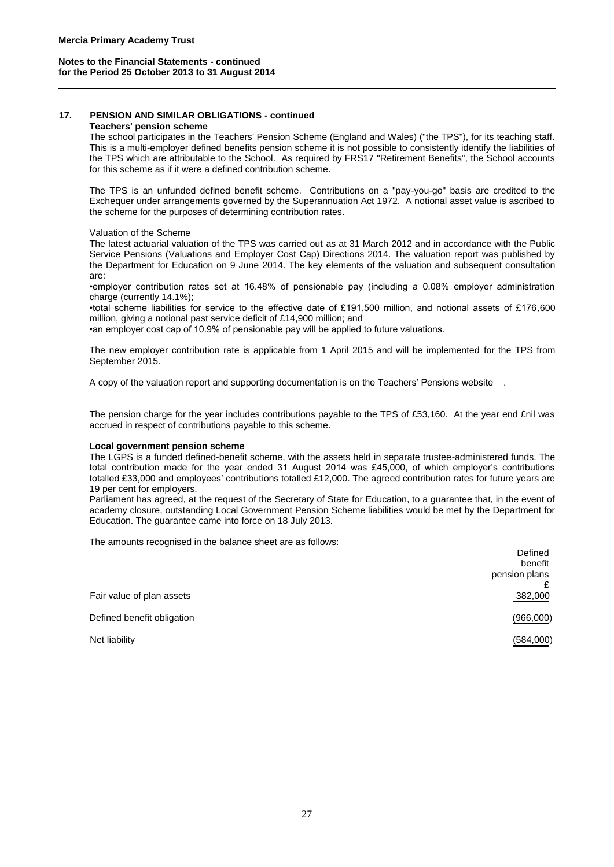# **17. PENSION AND SIMILAR OBLIGATIONS - continued**

### **Teachers' pension scheme**

The school participates in the Teachers' Pension Scheme (England and Wales) ("the TPS"), for its teaching staff. This is a multi-employer defined benefits pension scheme it is not possible to consistently identify the liabilities of the TPS which are attributable to the School. As required by FRS17 "Retirement Benefits", the School accounts for this scheme as if it were a defined contribution scheme.

The TPS is an unfunded defined benefit scheme. Contributions on a "pay-you-go" basis are credited to the Exchequer under arrangements governed by the Superannuation Act 1972. A notional asset value is ascribed to the scheme for the purposes of determining contribution rates.

Valuation of the Scheme

The latest actuarial valuation of the TPS was carried out as at 31 March 2012 and in accordance with the Public Service Pensions (Valuations and Employer Cost Cap) Directions 2014. The valuation report was published by the Department for Education on 9 June 2014. The key elements of the valuation and subsequent consultation are:

•employer contribution rates set at 16.48% of pensionable pay (including a 0.08% employer administration charge (currently 14.1%);

•total scheme liabilities for service to the effective date of £191,500 million, and notional assets of £176,600 million, giving a notional past service deficit of £14,900 million; and

•an employer cost cap of 10.9% of pensionable pay will be applied to future valuations.

The new employer contribution rate is applicable from 1 April 2015 and will be implemented for the TPS from September 2015.

A copy of the valuation report and supporting documentation is on the Teachers' Pensions website .

The pension charge for the year includes contributions payable to the TPS of £53,160. At the year end £nil was accrued in respect of contributions payable to this scheme.

### **Local government pension scheme**

The LGPS is a funded defined-benefit scheme, with the assets held in separate trustee-administered funds. The total contribution made for the year ended 31 August 2014 was £45,000, of which employer's contributions totalled £33,000 and employees' contributions totalled £12,000. The agreed contribution rates for future years are 19 per cent for employers.

Parliament has agreed, at the request of the Secretary of State for Education, to a guarantee that, in the event of academy closure, outstanding Local Government Pension Scheme liabilities would be met by the Department for Education. The guarantee came into force on 18 July 2013.

The amounts recognised in the balance sheet are as follows:

|                            | Defined       |
|----------------------------|---------------|
|                            | benefit       |
|                            | pension plans |
|                            |               |
| Fair value of plan assets  | 382,000       |
| Defined benefit obligation | (966,000)     |
| Net liability              | (584,000)     |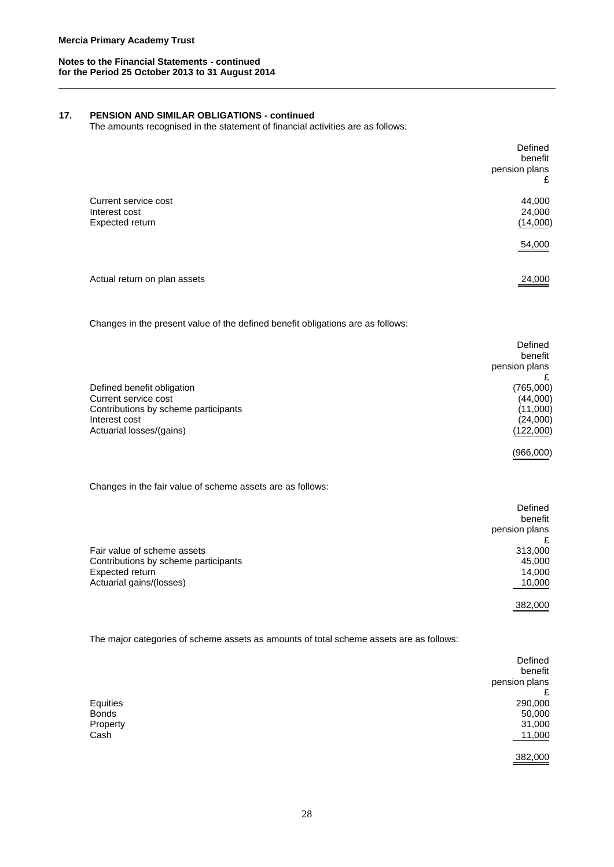### **17. PENSION AND SIMILAR OBLIGATIONS - continued**

The amounts recognised in the statement of financial activities are as follows:

|                                                          | Defined<br>benefit<br>pension plans<br>£ |
|----------------------------------------------------------|------------------------------------------|
| Current service cost<br>Interest cost<br>Expected return | 44,000<br>24,000<br>(14,000)             |
|                                                          | 54,000                                   |
| Actual return on plan assets                             | 24,000                                   |

Changes in the present value of the defined benefit obligations are as follows:

|                                      | Defined       |
|--------------------------------------|---------------|
|                                      | benefit       |
|                                      | pension plans |
|                                      |               |
| Defined benefit obligation           | (765,000)     |
| Current service cost                 | (44,000)      |
| Contributions by scheme participants | (11,000)      |
| Interest cost                        | (24,000)      |
| Actuarial losses/(gains)             | (122,000)     |
|                                      | (966,000)     |

Changes in the fair value of scheme assets are as follows:

|                                      | Defined       |
|--------------------------------------|---------------|
|                                      | benefit       |
|                                      | pension plans |
|                                      | £             |
| Fair value of scheme assets          | 313,000       |
| Contributions by scheme participants | 45,000        |
| Expected return                      | 14,000        |
| Actuarial gains/(losses)             | 10,000        |
|                                      | 382,000       |

The major categories of scheme assets as amounts of total scheme assets are as follows:

|              | Defined       |
|--------------|---------------|
|              | benefit       |
|              | pension plans |
|              | £             |
| Equities     | 290,000       |
| <b>Bonds</b> | 50,000        |
| Property     | 31,000        |
| Cash         | 11,000        |
|              | 382,000       |